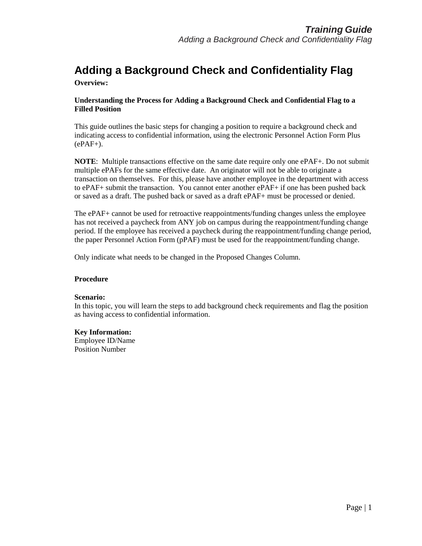#### **Overview:**

#### **Understanding the Process for Adding a Background Check and Confidential Flag to a Filled Position**

This guide outlines the basic steps for changing a position to require a background check and indicating access to confidential information, using the electronic Personnel Action Form Plus  $(ePAF+$ ).

**NOTE**: Multiple transactions effective on the same date require only one ePAF+. Do not submit multiple ePAFs for the same effective date. An originator will not be able to originate a transaction on themselves. For this, please have another employee in the department with access to ePAF+ submit the transaction. You cannot enter another ePAF+ if one has been pushed back or saved as a draft. The pushed back or saved as a draft ePAF+ must be processed or denied.

The ePAF+ cannot be used for retroactive reappointments/funding changes unless the employee has not received a paycheck from ANY job on campus during the reappointment/funding change period. If the employee has received a paycheck during the reappointment/funding change period, the paper Personnel Action Form (pPAF) must be used for the reappointment/funding change.

Only indicate what needs to be changed in the Proposed Changes Column.

#### **Procedure**

#### **Scenario:**

In this topic, you will learn the steps to add background check requirements and flag the position as having access to confidential information.

#### **Key Information:**

Employee ID/Name Position Number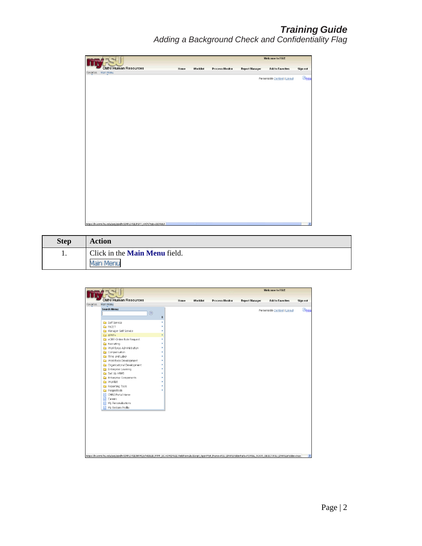|                                                                    |      |             |                        |                       | Welcome to FSU!              |               |
|--------------------------------------------------------------------|------|-------------|------------------------|-----------------------|------------------------------|---------------|
| <b>OMNI Human Resources</b>                                        | Home | Worklist    | <b>Process Monitor</b> | <b>Report Manager</b> | <b>Add to Favorites</b>      | Sign out      |
| Favorites   Main Menu                                              |      |             |                        |                       | Personalize Content   Layout | $①$ Hell      |
|                                                                    |      |             |                        |                       |                              |               |
|                                                                    |      |             |                        |                       |                              |               |
|                                                                    |      |             |                        |                       |                              |               |
|                                                                    |      |             |                        |                       |                              |               |
|                                                                    |      |             |                        |                       |                              |               |
|                                                                    |      |             |                        |                       |                              |               |
|                                                                    |      |             |                        |                       |                              |               |
|                                                                    |      |             |                        |                       |                              |               |
|                                                                    |      |             |                        |                       |                              |               |
|                                                                    |      |             |                        |                       |                              |               |
|                                                                    |      |             |                        |                       |                              |               |
|                                                                    |      |             |                        |                       |                              |               |
|                                                                    |      |             |                        |                       |                              |               |
|                                                                    |      |             |                        |                       |                              |               |
|                                                                    |      |             |                        |                       |                              |               |
|                                                                    |      |             |                        |                       |                              |               |
|                                                                    |      |             |                        |                       |                              |               |
|                                                                    |      |             |                        |                       |                              |               |
|                                                                    |      |             |                        |                       |                              |               |
|                                                                    |      |             |                        |                       |                              |               |
|                                                                    |      |             |                        |                       |                              |               |
| https://hr.omni.fsu.edu/psp/sprdhr/EMPLOYEE/PSFT_HR/h/?tab=DEFAULT |      | <b>TILL</b> |                        |                       |                              | $\rightarrow$ |

| <b>Step</b> | <b>Action</b>                        |
|-------------|--------------------------------------|
| 1.          | Click in the <b>Main Menu</b> field. |
|             |                                      |

| <b>OMNI Human Resources</b><br>Worklist<br><b>Process Monitor</b><br><b>Report Manager</b><br><b>Add to Favorites</b><br>Home<br>Sign out<br>Main Menu<br>Favorites<br><b>Search Menu:</b><br>Personalize Content   Layout<br>$^{\circledR}$<br>÷<br><b>B</b> Self Service<br><b>C</b> FACET<br>Manager Self Service<br>Call ePAF+<br>eORR Online Role Request<br><b>Recruiting</b><br>Workforce Administration<br>Compensation<br>Time and Labor<br>Workforce Development<br>Organizational Development<br>Enterprise Learning<br>Set Up HRMS<br>Enterprise Components<br>Worklist<br>Reporting Tools<br>PeopleTools<br>OMNI Portal Home<br>Ħ<br>Ħ<br>Careers<br>My Personalizations<br>My System Profile |  |  |  | Welcome to FSU! |               |
|------------------------------------------------------------------------------------------------------------------------------------------------------------------------------------------------------------------------------------------------------------------------------------------------------------------------------------------------------------------------------------------------------------------------------------------------------------------------------------------------------------------------------------------------------------------------------------------------------------------------------------------------------------------------------------------------------------|--|--|--|-----------------|---------------|
|                                                                                                                                                                                                                                                                                                                                                                                                                                                                                                                                                                                                                                                                                                            |  |  |  |                 |               |
|                                                                                                                                                                                                                                                                                                                                                                                                                                                                                                                                                                                                                                                                                                            |  |  |  |                 |               |
|                                                                                                                                                                                                                                                                                                                                                                                                                                                                                                                                                                                                                                                                                                            |  |  |  |                 | $2$ Help      |
| https://hr.omni.fsu.edu/psp/sprdhr/EMPLOYEE/HRMS/s/WEBLIB_PTPP_SC.HOMEPAGE.FieldFormula.IScript_AppHP?pt_fname=FSU_EPAF6FolderPath=PORTAL_ROOT_OBJECT.FSU_EPAF6IsFolder=true                                                                                                                                                                                                                                                                                                                                                                                                                                                                                                                               |  |  |  |                 | $\rightarrow$ |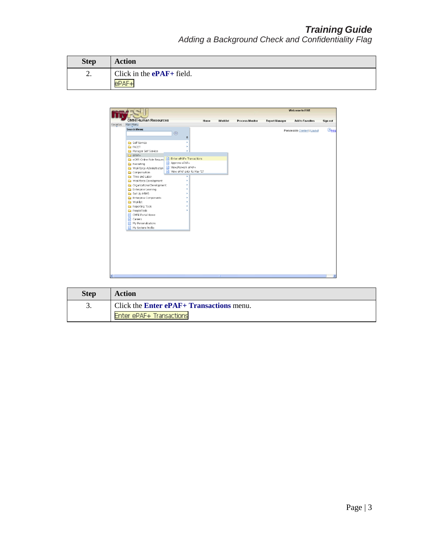| <b>Step</b> | <b>Action</b>               |
|-------------|-----------------------------|
| <u>.</u>    | Click in the $ePAF+$ field. |
|             |                             |

|                                                                                                               |                                                                                 |      |             |                        |                       | <b>Welcome to FSU!</b>       |               |
|---------------------------------------------------------------------------------------------------------------|---------------------------------------------------------------------------------|------|-------------|------------------------|-----------------------|------------------------------|---------------|
| <b>OMNI Human Resources</b>                                                                                   |                                                                                 |      |             |                        |                       |                              |               |
| Main Menu<br>Favorites                                                                                        |                                                                                 | Home | Worklist    | <b>Process Monitor</b> | <b>Report Manager</b> | <b>Add to Favorites</b>      | Sign out      |
| Search Menu:<br><b>Ca</b> Self Service                                                                        | $^{\circledR}$<br>÷<br>٠                                                        |      |             |                        |                       | Personalize Content   Layout | $2$ Help      |
| <b>E</b> FACET<br>Manager Self Service<br>$CPAF+$<br>eORR Online Role Reques                                  | ٠<br>×<br>Enter ePAF+ Transactions<br>自                                         |      |             |                        |                       |                              |               |
| Recruiting<br>Workforce Administration<br>Compensation                                                        | Approve ePAF+<br>目<br>View/Rework ePAF+<br>目<br>View ePAF prior to May '07<br>目 |      |             |                        |                       |                              |               |
| Time and Labor<br>Workforce Development<br>Organizational Development<br>Enterprise Learning<br>G Set Up HRMS | ١<br>٠                                                                          |      |             |                        |                       |                              |               |
| Enterprise Components<br>Worklist<br>Reporting Tools<br>PeopleTools                                           |                                                                                 |      |             |                        |                       |                              |               |
| 目<br>OMNI Portal Home<br>目<br>Careers<br>My Personalizations<br>E<br>My System Profile                        |                                                                                 |      |             |                        |                       |                              |               |
|                                                                                                               |                                                                                 |      |             |                        |                       |                              |               |
| $\overline{\phantom{a}}$                                                                                      |                                                                                 |      | <b>TILL</b> |                        |                       |                              | $\rightarrow$ |

| <b>Step</b> | Action                                          |
|-------------|-------------------------------------------------|
| J.          | Click the <b>Enter ePAF+ Transactions</b> menu. |
|             | Enter ePAF+ Transactions                        |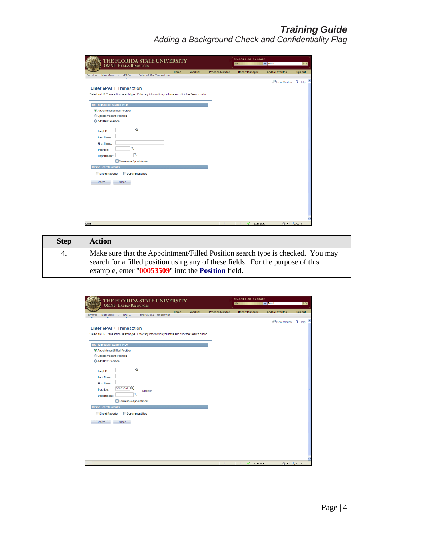| THE FLORIDA STATE UNIVERSITY<br><b>OMNI * HUMAN RESOURCES</b>                                                                       |      |                 |                        | <b>SEARCH FLORIDA STATE</b><br>Web | $\vee$ Search              | GO       |
|-------------------------------------------------------------------------------------------------------------------------------------|------|-----------------|------------------------|------------------------------------|----------------------------|----------|
| $ePAF+$ ><br>Enter ePAF+ Transactions<br>Main Menu $\rightarrow$<br>Favorites                                                       | Home | <b>Worklist</b> | <b>Process Monitor</b> | <b>Report Manager</b>              | <b>Add to Favorites</b>    | Sign out |
| <b>Enter ePAF+ Transaction</b><br>Select an HR Transaction search type. Enter any information you have and click the Search button. |      |                 |                        |                                    | <b>New Window</b>          | ? Help   |
| <b>HR Transaction Search Type</b>                                                                                                   |      |                 |                        |                                    |                            |          |
| Appointment/Filled Position                                                                                                         |      |                 |                        |                                    |                            |          |
| O Update Vacant Position                                                                                                            |      |                 |                        |                                    |                            |          |
| Add New Position                                                                                                                    |      |                 |                        |                                    |                            |          |
| Q<br>Empl ID:<br><b>Last Name:</b><br><b>First Name:</b><br>Q<br>Position:<br>Q<br>Department:<br>Terminate Appointment             |      |                 |                        |                                    |                            |          |
| <b>Refine Search Results</b>                                                                                                        |      |                 |                        |                                    |                            |          |
| Direct Reports<br>Department Rep                                                                                                    |      |                 |                        |                                    |                            |          |
| Clear<br>Search                                                                                                                     |      |                 |                        |                                    |                            |          |
|                                                                                                                                     |      |                 |                        | Trusted sites                      | $\sqrt{2}$ $\sqrt{6}$ 100% |          |

| <b>Step</b> | <b>Action</b>                                                                                                                                                                                                           |
|-------------|-------------------------------------------------------------------------------------------------------------------------------------------------------------------------------------------------------------------------|
| 4.          | Make sure that the Appointment/Filled Position search type is checked. You may<br>search for a filled position using any of these fields. For the purpose of this<br>example, enter "00053509" into the Position field. |

| THE FLORIDA STATE UNIVERSITY<br><b>OMNI</b> * HUMAN RESOURCES                                                                                     |      |                 |                        | <b>SEARCH FLORIDA STATE</b><br>Web | $\vee$ Search           | GO                                      |
|---------------------------------------------------------------------------------------------------------------------------------------------------|------|-----------------|------------------------|------------------------------------|-------------------------|-----------------------------------------|
| Enter ePAF+ Transactions<br>Main Menu ><br>$ePAF+$ ><br>Favorites                                                                                 | Home | <b>Worklist</b> | <b>Process Monitor</b> | <b>Report Manager</b>              | <b>Add to Favorites</b> | Sign out                                |
| <b>Enter ePAF+ Transaction</b><br>Select an HR Transaction search type. Enter any information you have and click the Search button.               |      |                 |                        |                                    | New Window              | ? Help                                  |
| <b>HR Transaction Search Type</b>                                                                                                                 |      |                 |                        |                                    |                         |                                         |
| © Appointment/Filled Position<br>O Update Vacant Position<br>Add New Position                                                                     |      |                 |                        |                                    |                         |                                         |
| $\alpha$<br>Empl ID:<br><b>Last Name:</b><br><b>First Name:</b><br>00053509<br>Position:<br>Director<br>Q<br>Department:<br>Terminate Appointment |      |                 |                        |                                    |                         |                                         |
| <b>Refine Search Results</b>                                                                                                                      |      |                 |                        |                                    |                         |                                         |
| Direct Reports<br>Department Rep                                                                                                                  |      |                 |                        |                                    |                         |                                         |
| Clear<br>Search                                                                                                                                   |      |                 |                        |                                    |                         |                                         |
|                                                                                                                                                   |      |                 |                        | Trusted sites                      |                         | $\frac{1}{2}$ - $\frac{100\%}{100\%}$ - |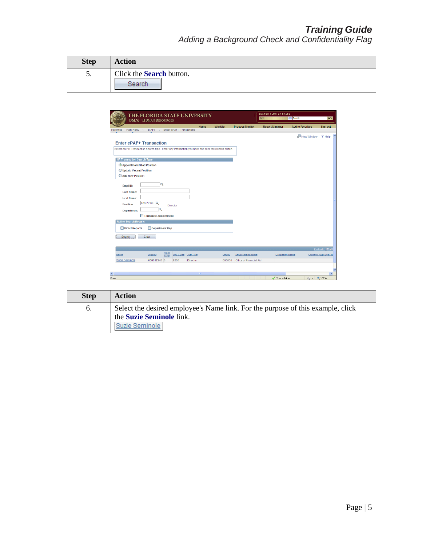| <b>Step</b> | <b>Action</b>                             |
|-------------|-------------------------------------------|
| C.          | Click the <b>Search</b> button.<br>Search |

|                                                                                                   | <b>OMNI * HUMAN RESOURCES</b> |                     |                          | THE FLORIDA STATE UNIVERSITY |                 |                         | <b>SEARCH FLORIDA STATE</b><br>Web | $\vee$ Search           |                            |
|---------------------------------------------------------------------------------------------------|-------------------------------|---------------------|--------------------------|------------------------------|-----------------|-------------------------|------------------------------------|-------------------------|----------------------------|
|                                                                                                   |                               |                     |                          | Home                         | <b>Worklist</b> | <b>Process Monitor</b>  | <b>Report Manager</b>              | <b>Add to Favorites</b> | Sign out                   |
| Main Menu $\rightarrow$<br>Favorites<br><b>Enter ePAF+ Transaction</b>                            | $ePAF+$ >                     |                     | Enter ePAF+ Transactions |                              |                 |                         |                                    | 图 New Window            | ? Help                     |
| Select an HR Transaction search type. Enter any information you have and click the Search button. |                               |                     |                          |                              |                 |                         |                                    |                         |                            |
| <b>HR Transaction Search Type</b>                                                                 |                               |                     |                          |                              |                 |                         |                                    |                         |                            |
| Appointment/Filled Position                                                                       |                               |                     |                          |                              |                 |                         |                                    |                         |                            |
| O Update Vacant Position                                                                          |                               |                     |                          |                              |                 |                         |                                    |                         |                            |
| Add New Position                                                                                  |                               |                     |                          |                              |                 |                         |                                    |                         |                            |
| Empl ID:                                                                                          | Q                             |                     |                          |                              |                 |                         |                                    |                         |                            |
| <b>Last Name:</b>                                                                                 |                               |                     |                          |                              |                 |                         |                                    |                         |                            |
| <b>First Name:</b>                                                                                |                               |                     |                          |                              |                 |                         |                                    |                         |                            |
| Position:                                                                                         | 00053509                      |                     |                          |                              |                 |                         |                                    |                         |                            |
|                                                                                                   | Q                             | Director            |                          |                              |                 |                         |                                    |                         |                            |
| Department:                                                                                       | Terminate Appointment         |                     |                          |                              |                 |                         |                                    |                         |                            |
| <b>Refine Search Results</b>                                                                      |                               |                     |                          |                              |                 |                         |                                    |                         |                            |
| <b>Direct Reports</b>                                                                             | Department Rep                |                     |                          |                              |                 |                         |                                    |                         |                            |
|                                                                                                   |                               |                     |                          |                              |                 |                         |                                    |                         |                            |
| <b>Search</b>                                                                                     | <b>Clear</b>                  |                     |                          |                              |                 |                         |                                    |                         |                            |
|                                                                                                   |                               |                     |                          |                              |                 |                         |                                    |                         |                            |
|                                                                                                   |                               |                     |                          |                              |                 |                         |                                    |                         | Customize   Find           |
| <b>Name</b>                                                                                       | Empl ID                       | <b>Empl</b><br>Red# | <b>Job Code</b>          | <b>Job Title</b>             | DeptID          | <b>Department Name</b>  | <b>Originator Name</b>             |                         | <b>Current Approval St</b> |
| Suzie Seminole                                                                                    | 000012345 0                   |                     | 9250                     | <b>Director</b>              | 065000          | Office of Financial Aid |                                    |                         |                            |
|                                                                                                   |                               |                     |                          |                              |                 |                         |                                    |                         |                            |
|                                                                                                   |                               |                     |                          |                              |                 |                         |                                    |                         |                            |

| <b>Step</b> | Action                                                                                                      |
|-------------|-------------------------------------------------------------------------------------------------------------|
| $\sigma$ .  | Select the desired employee's Name link. For the purpose of this example, click<br>the Suzie Seminole link. |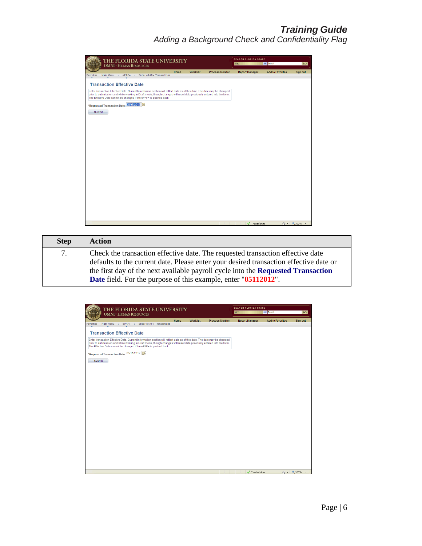| THE FLORIDA STATE UNIVERSITY<br><b>OMNI * HUMAN RESOURCES</b>                                                                                                                                                                                                                                                          | <b>SEARCH FLORIDA STATE</b><br>Web | GO              |                        |                       |                         |                                       |
|------------------------------------------------------------------------------------------------------------------------------------------------------------------------------------------------------------------------------------------------------------------------------------------------------------------------|------------------------------------|-----------------|------------------------|-----------------------|-------------------------|---------------------------------------|
|                                                                                                                                                                                                                                                                                                                        | Home                               | <b>Worklist</b> | <b>Process Monitor</b> | <b>Report Manager</b> | <b>Add to Favorites</b> | Sign out                              |
| Main Menu $\rightarrow$ ePAF+ $\rightarrow$<br>Enter ePAF+ Transactions<br>Favorites                                                                                                                                                                                                                                   |                                    |                 |                        |                       |                         |                                       |
| <b>Transaction Effective Date</b>                                                                                                                                                                                                                                                                                      |                                    |                 |                        |                       |                         |                                       |
| Enter transaction Effective Date, Current Information section will reflect data as of this date. The date may be changed<br>prior to submission and while working in Draft mode, though changes will reset data previously entered into the form.<br>The Effective Date cannot be changed if the ePAF+ is pushed back. |                                    |                 |                        |                       |                         |                                       |
| *Requested Transaction Date: 05/07/2012 <mark>同</mark>                                                                                                                                                                                                                                                                 |                                    |                 |                        |                       |                         |                                       |
| Submit                                                                                                                                                                                                                                                                                                                 |                                    |                 |                        |                       |                         |                                       |
|                                                                                                                                                                                                                                                                                                                        |                                    |                 |                        |                       |                         |                                       |
|                                                                                                                                                                                                                                                                                                                        |                                    |                 |                        |                       |                         |                                       |
|                                                                                                                                                                                                                                                                                                                        |                                    |                 |                        |                       |                         |                                       |
|                                                                                                                                                                                                                                                                                                                        |                                    |                 |                        |                       |                         |                                       |
|                                                                                                                                                                                                                                                                                                                        |                                    |                 |                        |                       |                         |                                       |
|                                                                                                                                                                                                                                                                                                                        |                                    |                 |                        |                       |                         |                                       |
|                                                                                                                                                                                                                                                                                                                        |                                    |                 |                        |                       |                         |                                       |
|                                                                                                                                                                                                                                                                                                                        |                                    |                 |                        |                       |                         |                                       |
|                                                                                                                                                                                                                                                                                                                        |                                    |                 |                        |                       |                         |                                       |
|                                                                                                                                                                                                                                                                                                                        |                                    |                 |                        |                       |                         |                                       |
|                                                                                                                                                                                                                                                                                                                        |                                    |                 |                        |                       |                         |                                       |
|                                                                                                                                                                                                                                                                                                                        |                                    |                 |                        |                       |                         |                                       |
|                                                                                                                                                                                                                                                                                                                        |                                    |                 |                        |                       |                         |                                       |
|                                                                                                                                                                                                                                                                                                                        |                                    |                 |                        |                       |                         |                                       |
|                                                                                                                                                                                                                                                                                                                        |                                    |                 |                        |                       |                         |                                       |
|                                                                                                                                                                                                                                                                                                                        |                                    |                 |                        | Trusted sites         |                         | $\sqrt{6}$ $\sqrt{6}$ 100% $\sqrt{7}$ |

| <b>Step</b> | <b>Action</b>                                                                                                                                                                                                                                                                                                                        |
|-------------|--------------------------------------------------------------------------------------------------------------------------------------------------------------------------------------------------------------------------------------------------------------------------------------------------------------------------------------|
| 7.          | Check the transaction effective date. The requested transaction effective date<br>defaults to the current date. Please enter your desired transaction effective date or<br>the first day of the next available payroll cycle into the Requested Transaction<br><b>Date</b> field. For the purpose of this example, enter "05112012". |

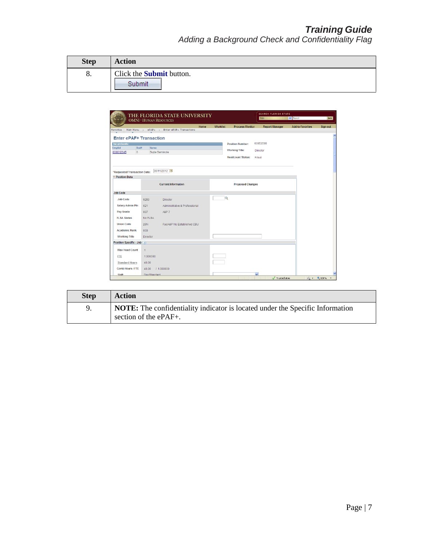| <b>Step</b> | <b>Action</b>                   |
|-------------|---------------------------------|
| 8.          | Click the <b>Submit</b> button. |
|             | Submit                          |

|                                                               | THE FLORIDA STATE UNIVERSITY<br><b>OMNI * HUMAN RESOURCES</b> |                         |                          | <b>SEARCH FLORIDA STATE</b><br>Web | $\vee$ Search           | GO       |  |
|---------------------------------------------------------------|---------------------------------------------------------------|-------------------------|--------------------------|------------------------------------|-------------------------|----------|--|
| Main Menu ><br>Favorites                                      | ePAF+ > Enter ePAF+ Transactions                              | <b>Worklist</b><br>Home | <b>Process Monitor</b>   | <b>Report Manager</b>              | <b>Add to Favorites</b> | Sign out |  |
|                                                               |                                                               |                         |                          |                                    |                         |          |  |
| <b>Enter ePAF+ Transaction</b>                                |                                                               |                         |                          |                                    |                         |          |  |
| <b>Incumbents:</b><br><b>Emplid</b><br>Rcd#                   | <b>Name</b>                                                   |                         | <b>Position Number:</b>  | 00053509                           |                         |          |  |
| 000012345<br>$\circ$                                          | Suzie Seminole                                                |                         | <b>Working Title:</b>    | Director                           |                         |          |  |
|                                                               |                                                               |                         | <b>Headcount Status:</b> | Filled                             |                         |          |  |
|                                                               | 05/11/2012                                                    |                         |                          |                                    |                         |          |  |
| *Requested Transaction Date:<br>$\triangledown$ Position Data |                                                               |                         |                          |                                    |                         |          |  |
|                                                               |                                                               |                         |                          |                                    |                         |          |  |
|                                                               | <b>Current Information</b>                                    |                         | <b>Proposed Changes</b>  |                                    |                         |          |  |
| <b>Job Code</b>                                               |                                                               |                         |                          |                                    |                         |          |  |
| <b>Job Code</b>                                               | 9250<br><b>Director</b>                                       | $\alpha$                |                          |                                    |                         |          |  |
| <b>Salary Admin Pln</b>                                       | 021<br>Administrative & Professional                          |                         |                          |                                    |                         |          |  |
| Pay Grade                                                     | 007<br><b>A&amp;P 7</b>                                       |                         |                          |                                    |                         |          |  |
| <b>FI SA Status</b>                                           | No FLSA                                                       |                         |                          |                                    |                         |          |  |
| <b>Union Code</b>                                             | <b>29N</b><br>Fac/A&P No Established CBU                      |                         |                          |                                    |                         |          |  |
| <b>Academic Rank</b>                                          | 000                                                           |                         |                          |                                    |                         |          |  |
| <b>Working Title</b>                                          | <b>Director</b>                                               |                         |                          |                                    |                         |          |  |
| Position Specific - Job (?)                                   |                                                               |                         |                          |                                    |                         |          |  |
| <b>Max Head Count</b>                                         | $\overline{1}$                                                |                         |                          |                                    |                         |          |  |
| <b>FTE</b>                                                    | 1.000000                                                      |                         |                          |                                    |                         |          |  |
|                                                               | 40.00                                                         |                         |                          |                                    |                         |          |  |
|                                                               |                                                               |                         |                          |                                    |                         |          |  |
| <b>Standard Hours</b><br><b>Comb Hours / FTE</b>              | 11.000000<br>40.00                                            |                         |                          |                                    |                         |          |  |

| <b>Step</b> | Action                                                                                                 |
|-------------|--------------------------------------------------------------------------------------------------------|
|             | NOTE: The confidentiality indicator is located under the Specific Information<br>section of the ePAF+. |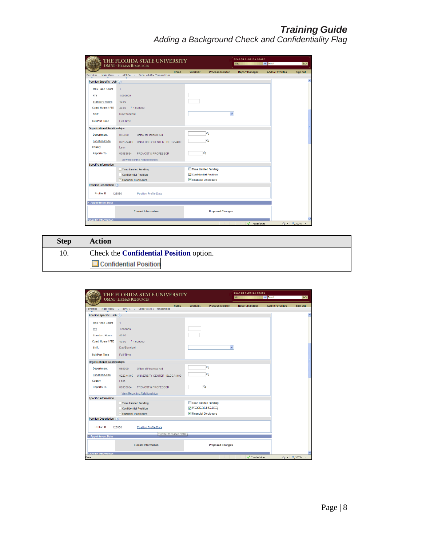|                                     | THE FLORIDA STATE UNIVERSITY<br><b>OMNI * HUMAN RESOURCES</b> |                                           | <b>SEARCH FLORIDA STATE</b><br>$\vee$ Search<br>Web |                         | GO                         |
|-------------------------------------|---------------------------------------------------------------|-------------------------------------------|-----------------------------------------------------|-------------------------|----------------------------|
| Favorites<br>Main Menu >            | Home<br>ePAF+ > Enter ePAF+ Transactions                      | <b>Worklist</b><br><b>Process Monitor</b> | <b>Report Manager</b>                               | <b>Add to Favorites</b> | Sign out                   |
| Position Specific - Job (?)         |                                                               |                                           |                                                     |                         |                            |
|                                     |                                                               |                                           |                                                     |                         |                            |
| <b>Max Head Count</b>               | $\overline{1}$                                                |                                           |                                                     |                         |                            |
| <b>FTE</b>                          | 1.000000                                                      |                                           |                                                     |                         |                            |
| <b>Standard Hours</b>               | 40.00                                                         |                                           |                                                     |                         |                            |
| <b>Comb Hours / FTE</b>             | 11.000000<br>40.00                                            |                                           |                                                     |                         |                            |
| <b>Shift</b>                        | Day/Standard                                                  | $\checkmark$                              |                                                     |                         |                            |
| <b>Full/Part Time</b>               | Full-Time                                                     |                                           |                                                     |                         |                            |
| <b>Organizational Relationships</b> |                                                               |                                           |                                                     |                         |                            |
| Department                          | 065000<br>Office of Financial Aid                             | Q                                         |                                                     |                         |                            |
| <b>Location Code</b>                | UNIVERSITY CENTER - BLDGA4400<br>0223A4400                    | Q                                         |                                                     |                         |                            |
| County                              | Leon                                                          |                                           |                                                     |                         |                            |
| <b>Reports To</b>                   | PROVOST & PROFESSOR<br>00053654                               | Q                                         |                                                     |                         |                            |
|                                     | View Reporting Relationships                                  |                                           |                                                     |                         |                            |
| <b>Specific Information</b>         |                                                               |                                           |                                                     |                         |                            |
|                                     | Time Limited Funding                                          | Time Limited Funding                      |                                                     |                         |                            |
|                                     | <b>Confidential Position</b>                                  | Confidential Position                     |                                                     |                         |                            |
|                                     | $\vee$ Financial Disclosure                                   | Financial Disclosure                      |                                                     |                         |                            |
| Position Description (?)            |                                                               |                                           |                                                     |                         |                            |
| <b>Profile ID</b>                   | 126050<br><b>Position Profile Data</b>                        |                                           |                                                     |                         |                            |
| <b>v</b> Appointment Data           |                                                               |                                           |                                                     |                         |                            |
|                                     | <b>Current Information</b>                                    | <b>Proposed Changes</b>                   |                                                     |                         |                            |
| <b>Snecific Information</b>         |                                                               |                                           |                                                     |                         |                            |
|                                     |                                                               |                                           | Trusted sites                                       |                         | $\sqrt{a}$ $\sqrt{a}$ 100% |

| <b>Step</b> | <b>Action</b>                                  |
|-------------|------------------------------------------------|
| 10.         | Check the <b>Confidential Position</b> option. |
|             | <b>Confidential Position</b>                   |

|                                     | THE FLORIDA STATE UNIVERSITY<br><b>OMNI * HUMAN RESOURCES</b> | <b>SEARCH FLORIDA STATE</b><br>$\vee$ Search<br>Web | GO                    |                                      |
|-------------------------------------|---------------------------------------------------------------|-----------------------------------------------------|-----------------------|--------------------------------------|
| Main Menu ><br>Favorites            | Home<br>ePAF+ > Enter ePAF+ Transactions                      | <b>Worklist</b><br><b>Process Monitor</b>           | <b>Report Manager</b> | <b>Add to Favorites</b><br>Sign out  |
| Position Specific - Job (?)         |                                                               |                                                     |                       | $\hat{\phantom{a}}$                  |
|                                     |                                                               |                                                     |                       |                                      |
| <b>Max Head Count</b>               | $\mathbf{1}$                                                  |                                                     |                       |                                      |
| <b>FTE</b>                          | 1.000000                                                      |                                                     |                       |                                      |
| <b>Standard Hours</b>               | 40.00                                                         |                                                     |                       |                                      |
| <b>Comb Hours / FTE</b>             | 11.000000<br>40.00                                            |                                                     |                       |                                      |
| <b>Shift</b>                        | Day/Standard                                                  |                                                     | $\checkmark$          |                                      |
| <b>Full/Part Time</b>               | Full-Time                                                     |                                                     |                       |                                      |
| <b>Organizational Relationships</b> |                                                               |                                                     |                       |                                      |
| <b>Department</b>                   | 065000<br>Office of Financial Aid                             | Q                                                   |                       |                                      |
| <b>Location Code</b>                | 0223A4400<br>UNIVERSITY CENTER - BLDGA4400                    | Q                                                   |                       |                                      |
| County                              | Leon                                                          |                                                     |                       |                                      |
| <b>Reports To</b>                   | 00053654<br>PROVOST & PROFESSOR                               | Q                                                   |                       |                                      |
|                                     | <b>View Reporting Relationships</b>                           |                                                     |                       |                                      |
| <b>Specific Information</b>         |                                                               |                                                     |                       |                                      |
|                                     | <b>Time Limited Funding</b>                                   | Time Limited Funding                                |                       |                                      |
|                                     | <b>Confidential Position</b>                                  | Confidential Position                               |                       |                                      |
|                                     | $\vee$ Financial Disclosure                                   | Financial Disclosure                                |                       |                                      |
| <b>Position Description (?)</b>     |                                                               |                                                     |                       |                                      |
| <b>Profile ID</b>                   | Position Profile Data<br>126050                               |                                                     |                       |                                      |
| <b>v</b> Appointment Data           | Transfer to Position Profile                                  |                                                     |                       |                                      |
|                                     | <b>Current Information</b>                                    | <b>Proposed Changes</b>                             |                       |                                      |
| <b>Snecific Information</b>         |                                                               |                                                     |                       |                                      |
| Done                                |                                                               |                                                     | Trusted sites         | $\sqrt{2}$ - $\frac{100\%}{100\%}$ - |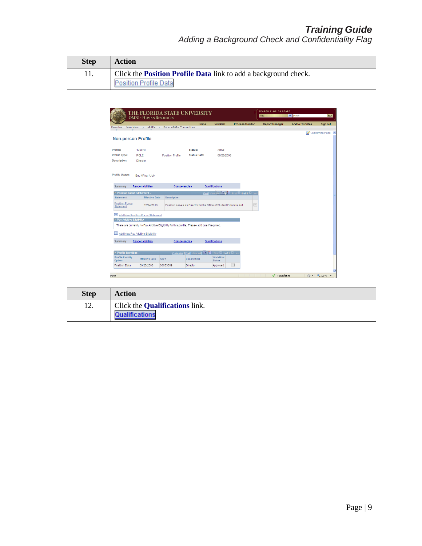| <b>Step</b> | <b>Action</b>                                                          |
|-------------|------------------------------------------------------------------------|
|             | Click the <b>Position Profile Data</b> link to add a background check. |
|             | <b>Position Profile Data</b>                                           |

| Main Menu $\rightarrow$<br>Favorites<br><b>Non-person Profile</b><br>Profile:<br>Profile Type:<br><b>Description:</b><br><b>Profile Usage:</b> | <b>OMNI * HUMAN RESOURCES</b><br>$ePAF+$ ><br>126050<br><b>ROLE</b><br>Director<br>End / Final / Job | Enter ePAF+ Transactions<br><b>Position Profile</b> | Home<br>Status:<br><b>Status Date:</b>                                                        | <b>Worklist</b><br>Active<br>08/25/2006 | <b>Process Monitor</b>                       | <b>Report Manager</b> | <b>Add to Favorites</b> | Sign out<br>Customize Page A |
|------------------------------------------------------------------------------------------------------------------------------------------------|------------------------------------------------------------------------------------------------------|-----------------------------------------------------|-----------------------------------------------------------------------------------------------|-----------------------------------------|----------------------------------------------|-----------------------|-------------------------|------------------------------|
|                                                                                                                                                |                                                                                                      |                                                     |                                                                                               |                                         |                                              |                       |                         |                              |
|                                                                                                                                                |                                                                                                      |                                                     |                                                                                               |                                         |                                              |                       |                         |                              |
|                                                                                                                                                |                                                                                                      |                                                     |                                                                                               |                                         |                                              |                       |                         |                              |
|                                                                                                                                                |                                                                                                      |                                                     |                                                                                               |                                         |                                              |                       |                         |                              |
|                                                                                                                                                |                                                                                                      |                                                     |                                                                                               |                                         |                                              |                       |                         |                              |
|                                                                                                                                                |                                                                                                      |                                                     |                                                                                               |                                         |                                              |                       |                         |                              |
|                                                                                                                                                |                                                                                                      |                                                     |                                                                                               |                                         |                                              |                       |                         |                              |
|                                                                                                                                                |                                                                                                      |                                                     |                                                                                               |                                         |                                              |                       |                         |                              |
|                                                                                                                                                |                                                                                                      |                                                     |                                                                                               |                                         |                                              |                       |                         |                              |
|                                                                                                                                                |                                                                                                      |                                                     |                                                                                               |                                         |                                              |                       |                         |                              |
| Summary                                                                                                                                        | Responsibilities                                                                                     | Competencies                                        |                                                                                               | <b>Qualifications</b>                   |                                              |                       |                         |                              |
| ▽ Position Focus Statement -                                                                                                                   |                                                                                                      |                                                     |                                                                                               |                                         | Find   View AP (XI) PH First   1 of 1   Last |                       |                         |                              |
| <b>Statement</b>                                                                                                                               | <b>Effective Date</b>                                                                                | <b>Description</b>                                  |                                                                                               |                                         |                                              |                       |                         |                              |
| <b>Position Focus</b><br>Statement                                                                                                             | 12/24/2010                                                                                           |                                                     | Position serves as Director for the Office of Student Financial Aid.                          |                                         | $\boxed{-}$                                  |                       |                         |                              |
|                                                                                                                                                |                                                                                                      |                                                     |                                                                                               |                                         |                                              |                       |                         |                              |
| Add New Position Focus Statement                                                                                                               |                                                                                                      |                                                     |                                                                                               |                                         |                                              |                       |                         |                              |
| ▽ Pay Additive Eligibility -                                                                                                                   |                                                                                                      |                                                     |                                                                                               |                                         |                                              |                       |                         |                              |
|                                                                                                                                                |                                                                                                      |                                                     | There are currently no Pay Additive Eligibility for this profile. Please add one if required. |                                         |                                              |                       |                         |                              |
| $+$<br>Add New Pay Additive Eligibility                                                                                                        |                                                                                                      |                                                     |                                                                                               |                                         |                                              |                       |                         |                              |
|                                                                                                                                                |                                                                                                      |                                                     |                                                                                               |                                         |                                              |                       |                         |                              |
| Summary                                                                                                                                        | <b>Responsibilities</b>                                                                              | <b>Competencies</b>                                 |                                                                                               | <b>Qualifications</b>                   |                                              |                       |                         |                              |
|                                                                                                                                                |                                                                                                      |                                                     |                                                                                               |                                         |                                              |                       |                         |                              |
| $\overline{\phantom{a}}$ Profile Identities -                                                                                                  |                                                                                                      |                                                     |                                                                                               |                                         |                                              |                       |                         |                              |
| <b>Profile Identity</b><br>Option                                                                                                              | <b>Effective Date</b>                                                                                | Key 1                                               | <b>Description</b>                                                                            | Workflow<br><b>Status</b>               |                                              |                       |                         |                              |
| <b>Position Data</b>                                                                                                                           | 08/25/2006                                                                                           | 00053509                                            | <b>Director</b>                                                                               | Approved                                | $\qquad \qquad =$                            |                       |                         |                              |
|                                                                                                                                                |                                                                                                      |                                                     |                                                                                               |                                         |                                              |                       |                         |                              |

| <b>Step</b> | <b>Action</b>                                           |
|-------------|---------------------------------------------------------|
| 12.         | Click the <b>Qualifications</b> link.<br>Qualifications |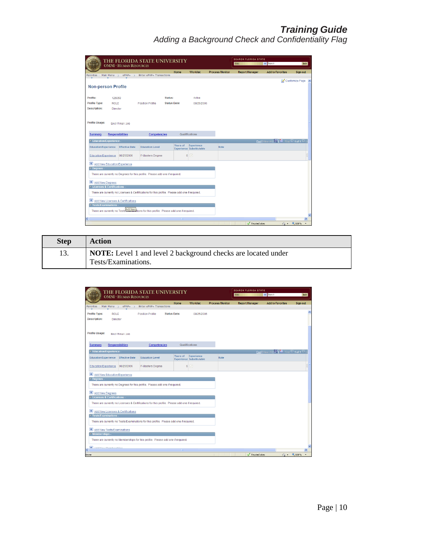| THE FLORIDA STATE UNIVERSITY<br><b>OMNI * HUMAN RESOURCES</b>                                  |                         |                                   |                                                                              |                     |          |                                               | Web                    | <b>SEARCH FLORIDA STATE</b> | $\vee$ Search         |                                                            | GO                     |               |  |
|------------------------------------------------------------------------------------------------|-------------------------|-----------------------------------|------------------------------------------------------------------------------|---------------------|----------|-----------------------------------------------|------------------------|-----------------------------|-----------------------|------------------------------------------------------------|------------------------|---------------|--|
| Favorites                                                                                      | Main Menu >             | $ePAF+$<br>$\rightarrow$          | Enter ePAF+ Transactions                                                     |                     | Home     | <b>Worklist</b>                               | <b>Process Monitor</b> |                             | <b>Report Manager</b> | <b>Add to Favorites</b>                                    |                        | Sign out      |  |
|                                                                                                |                         |                                   |                                                                              |                     |          |                                               |                        |                             |                       |                                                            | Customize Page A       |               |  |
| <b>Non-person Profile</b>                                                                      |                         |                                   |                                                                              |                     |          |                                               |                        |                             |                       |                                                            |                        |               |  |
| Profile:                                                                                       | 126050                  |                                   |                                                                              | Status:             |          | Active                                        |                        |                             |                       |                                                            |                        |               |  |
| <b>Profile Type:</b>                                                                           | <b>ROLE</b>             |                                   | <b>Position Profile</b>                                                      | <b>Status Date:</b> |          | 08/25/2006                                    |                        |                             |                       |                                                            |                        |               |  |
| <b>Description:</b>                                                                            | Director                |                                   |                                                                              |                     |          |                                               |                        |                             |                       |                                                            |                        |               |  |
|                                                                                                |                         |                                   |                                                                              |                     |          |                                               |                        |                             |                       |                                                            |                        |               |  |
| Profile Usage:                                                                                 |                         | End / Final / Job                 |                                                                              |                     |          |                                               |                        |                             |                       |                                                            |                        |               |  |
|                                                                                                |                         |                                   |                                                                              |                     |          |                                               |                        |                             |                       |                                                            |                        |               |  |
| Summary                                                                                        | <b>Responsibilities</b> |                                   | Competencies                                                                 |                     |          | Qualifications                                |                        |                             |                       |                                                            |                        |               |  |
| ▼ Education/Experience -                                                                       |                         |                                   |                                                                              |                     |          |                                               |                        |                             |                       | Find   View All   <b>D</b>   ill First <b>D</b>   1 of 1 D |                        |               |  |
| <b>Education/Experience</b>                                                                    |                         | <b>Effective Date</b>             | <b>Education Level</b>                                                       |                     | Years of | Experience<br><b>Experience Substitutable</b> | <b>Note</b>            |                             |                       |                                                            |                        |               |  |
|                                                                                                |                         |                                   |                                                                              |                     |          |                                               |                        |                             |                       |                                                            |                        |               |  |
| Education/Experience                                                                           |                         | 08/25/2006                        | F-Masters Degree                                                             |                     | 6        | $\overline{\vee}$                             |                        |                             |                       |                                                            |                        | П             |  |
| Add New Education/Experience                                                                   |                         |                                   |                                                                              |                     |          |                                               |                        |                             |                       |                                                            |                        |               |  |
| $\overline{\phantom{a}}$ Degrees -                                                             |                         |                                   |                                                                              |                     |          |                                               |                        |                             |                       |                                                            |                        |               |  |
|                                                                                                |                         |                                   | There are currently no Degrees for this profile. Please add one if required. |                     |          |                                               |                        |                             |                       |                                                            |                        |               |  |
|                                                                                                | + Add New Degrees       |                                   |                                                                              |                     |          |                                               |                        |                             |                       |                                                            |                        |               |  |
| ▼ Licenses & Certifications -                                                                  |                         |                                   |                                                                              |                     |          |                                               |                        |                             |                       |                                                            |                        |               |  |
| There are currently no Licenses & Certifications for this profile. Please add one if required. |                         |                                   |                                                                              |                     |          |                                               |                        |                             |                       |                                                            |                        |               |  |
| $+$                                                                                            |                         | Add New Licenses & Certifications |                                                                              |                     |          |                                               |                        |                             |                       |                                                            |                        |               |  |
| Tests/Examinations -                                                                           |                         |                                   |                                                                              |                     |          |                                               |                        |                             |                       |                                                            |                        |               |  |
|                                                                                                |                         |                                   | There are currently no Testshaw and New I                                    |                     |          |                                               |                        |                             |                       |                                                            |                        |               |  |
|                                                                                                |                         |                                   |                                                                              |                     |          |                                               |                        |                             |                       |                                                            |                        | $\rightarrow$ |  |
| K                                                                                              |                         |                                   |                                                                              |                     | m.       |                                               |                        |                             | Trusted sites         |                                                            | $\frac{1}{2}$ - 4,100% |               |  |

| <b>Step</b> | <b>Action</b>                                                                               |
|-------------|---------------------------------------------------------------------------------------------|
| 13.         | <b>NOTE:</b> Level 1 and level 2 background checks are located under<br>Tests/Examinations. |

| <b>Worklist</b><br><b>Process Monitor</b><br><b>Add to Favorites</b><br>Home<br><b>Report Manager</b><br>Sign out<br>Enter ePAF+ Transactions<br>Main Menu $\rightarrow$<br>$e$ $P$ $A$ $F$ $+$<br>Favorites<br>$\rightarrow$<br>Profile Type:<br><b>Status Date:</b><br><b>ROLE</b><br><b>Position Profile</b><br>08/25/2006<br><b>Description:</b><br>Director<br>Profile Usage:<br>End / Final / Job<br><b>Responsibilities</b><br>Qualifications<br><b>Summary</b><br><b>Competencies</b><br>Find   View All   M   H   First   1 of 1   L<br>▼ Education/Experience -<br>Years of<br>Experience<br><b>Education/Experience</b><br><b>Effective Date</b><br><b>Education Level</b><br><b>Note</b><br><b>Experience Substitutable</b><br>$\triangledown$<br>Education/Experience<br>F-Masters Degree<br>6<br>08/25/2006<br>Add New Education/Experience<br>$\nabla$ Degrees -<br>There are currently no Degrees for this profile. Please add one if required.<br>E Add New Degrees<br>▽ Licenses & Certifications -<br>There are currently no Licenses & Certifications for this profile. Please add one if required.<br>Add New Licenses & Certifications<br>$\overline{\mathbf{y}}$ Tests/Examinations .<br>There are currently no Tests/Examinations for this profile. Please add one if required.<br>Add New Tests/Examinations<br>$\overline{\mathbf{v}}$ Memberships .<br>There are currently no Memberships for this profile. Please add one if required.<br><b>H</b> Add Maur Mambarahian<br>K<br>电 100%<br>Trusted sites<br>$\sqrt{2}$ $\sim$<br>Done | THE FLORIDA STATE UNIVERSITY<br><b>OMNI * HUMAN RESOURCES</b> |  |  |  |  |  |  |  |  | Web | <b>SEARCH FLORIDA STATE</b> | $\vee$ Search |  | GO |  |
|------------------------------------------------------------------------------------------------------------------------------------------------------------------------------------------------------------------------------------------------------------------------------------------------------------------------------------------------------------------------------------------------------------------------------------------------------------------------------------------------------------------------------------------------------------------------------------------------------------------------------------------------------------------------------------------------------------------------------------------------------------------------------------------------------------------------------------------------------------------------------------------------------------------------------------------------------------------------------------------------------------------------------------------------------------------------------------------------------------------------------------------------------------------------------------------------------------------------------------------------------------------------------------------------------------------------------------------------------------------------------------------------------------------------------------------------------------------------------------------------------------------------------------------------------------------|---------------------------------------------------------------|--|--|--|--|--|--|--|--|-----|-----------------------------|---------------|--|----|--|
|                                                                                                                                                                                                                                                                                                                                                                                                                                                                                                                                                                                                                                                                                                                                                                                                                                                                                                                                                                                                                                                                                                                                                                                                                                                                                                                                                                                                                                                                                                                                                                  |                                                               |  |  |  |  |  |  |  |  |     |                             |               |  |    |  |
|                                                                                                                                                                                                                                                                                                                                                                                                                                                                                                                                                                                                                                                                                                                                                                                                                                                                                                                                                                                                                                                                                                                                                                                                                                                                                                                                                                                                                                                                                                                                                                  |                                                               |  |  |  |  |  |  |  |  |     |                             |               |  |    |  |
|                                                                                                                                                                                                                                                                                                                                                                                                                                                                                                                                                                                                                                                                                                                                                                                                                                                                                                                                                                                                                                                                                                                                                                                                                                                                                                                                                                                                                                                                                                                                                                  |                                                               |  |  |  |  |  |  |  |  |     |                             |               |  |    |  |
|                                                                                                                                                                                                                                                                                                                                                                                                                                                                                                                                                                                                                                                                                                                                                                                                                                                                                                                                                                                                                                                                                                                                                                                                                                                                                                                                                                                                                                                                                                                                                                  |                                                               |  |  |  |  |  |  |  |  |     |                             |               |  |    |  |
|                                                                                                                                                                                                                                                                                                                                                                                                                                                                                                                                                                                                                                                                                                                                                                                                                                                                                                                                                                                                                                                                                                                                                                                                                                                                                                                                                                                                                                                                                                                                                                  |                                                               |  |  |  |  |  |  |  |  |     |                             |               |  |    |  |
|                                                                                                                                                                                                                                                                                                                                                                                                                                                                                                                                                                                                                                                                                                                                                                                                                                                                                                                                                                                                                                                                                                                                                                                                                                                                                                                                                                                                                                                                                                                                                                  |                                                               |  |  |  |  |  |  |  |  |     |                             |               |  |    |  |
|                                                                                                                                                                                                                                                                                                                                                                                                                                                                                                                                                                                                                                                                                                                                                                                                                                                                                                                                                                                                                                                                                                                                                                                                                                                                                                                                                                                                                                                                                                                                                                  |                                                               |  |  |  |  |  |  |  |  |     |                             |               |  |    |  |
|                                                                                                                                                                                                                                                                                                                                                                                                                                                                                                                                                                                                                                                                                                                                                                                                                                                                                                                                                                                                                                                                                                                                                                                                                                                                                                                                                                                                                                                                                                                                                                  |                                                               |  |  |  |  |  |  |  |  |     |                             |               |  |    |  |
|                                                                                                                                                                                                                                                                                                                                                                                                                                                                                                                                                                                                                                                                                                                                                                                                                                                                                                                                                                                                                                                                                                                                                                                                                                                                                                                                                                                                                                                                                                                                                                  |                                                               |  |  |  |  |  |  |  |  |     |                             |               |  |    |  |
|                                                                                                                                                                                                                                                                                                                                                                                                                                                                                                                                                                                                                                                                                                                                                                                                                                                                                                                                                                                                                                                                                                                                                                                                                                                                                                                                                                                                                                                                                                                                                                  |                                                               |  |  |  |  |  |  |  |  |     |                             |               |  |    |  |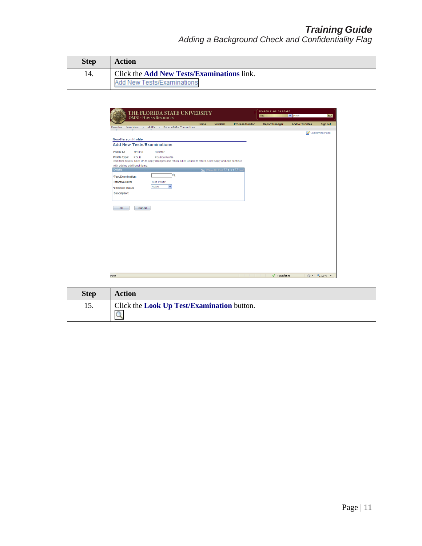| <b>Step</b> | Action                                            |
|-------------|---------------------------------------------------|
| 14.         | Click the <b>Add New Tests/Examinations</b> link. |
|             | Add New Tests/Examinations                        |

|                                   | THE FLORIDA STATE UNIVERSITY<br><b>OMNI * HUMAN RESOURCES</b>                                                                           |      |                                     |                        | <b>SEARCH FLORIDA STATE</b><br>Web | GO                      |                |
|-----------------------------------|-----------------------------------------------------------------------------------------------------------------------------------------|------|-------------------------------------|------------------------|------------------------------------|-------------------------|----------------|
| Main Menu ><br><b>Favorites</b>   | ePAF+ > Enter ePAF+ Transactions                                                                                                        | Home | <b>Worklist</b>                     | <b>Process Monitor</b> | <b>Report Manager</b>              | <b>Add to Favorites</b> | Sign out       |
|                                   |                                                                                                                                         |      |                                     |                        |                                    |                         | Customize Page |
| <b>Non-Person Profile</b>         |                                                                                                                                         |      |                                     |                        |                                    |                         |                |
| <b>Add New Tests/Examinations</b> |                                                                                                                                         |      |                                     |                        |                                    |                         |                |
| Profile ID:<br>126050             | <b>Director</b>                                                                                                                         |      |                                     |                        |                                    |                         |                |
| Profile Type:<br><b>ROLE</b>      | <b>Position Profile</b><br>Add item details. Click OK to apply changes and return. Click Cancel to return. Click Apply and Add continue |      |                                     |                        |                                    |                         |                |
| with adding additional items.     |                                                                                                                                         |      |                                     |                        |                                    |                         |                |
| <b>Details</b>                    |                                                                                                                                         |      | Find   View All First 4 of 1 D Last |                        |                                    |                         |                |
| *Test/Examination:                | $\alpha$                                                                                                                                |      |                                     |                        |                                    |                         |                |
| <b>Effective Date:</b>            | 05/11/2012                                                                                                                              |      |                                     |                        |                                    |                         |                |
| *Effective Status:                | $\checkmark$<br>Active                                                                                                                  |      |                                     |                        |                                    |                         |                |
| <b>Description:</b>               |                                                                                                                                         |      |                                     |                        |                                    |                         |                |
|                                   |                                                                                                                                         |      |                                     |                        |                                    |                         |                |
|                                   |                                                                                                                                         |      |                                     |                        |                                    |                         |                |
| OK.<br>Cancel                     |                                                                                                                                         |      |                                     |                        |                                    |                         |                |
|                                   |                                                                                                                                         |      |                                     |                        |                                    |                         |                |
|                                   |                                                                                                                                         |      |                                     |                        |                                    |                         |                |
|                                   |                                                                                                                                         |      |                                     |                        |                                    |                         |                |
|                                   |                                                                                                                                         |      |                                     |                        |                                    |                         |                |
|                                   |                                                                                                                                         |      |                                     |                        |                                    |                         |                |
|                                   |                                                                                                                                         |      |                                     |                        |                                    |                         |                |
|                                   |                                                                                                                                         |      |                                     |                        |                                    |                         |                |
|                                   |                                                                                                                                         |      |                                     |                        |                                    |                         |                |
|                                   |                                                                                                                                         |      |                                     |                        |                                    |                         |                |
|                                   |                                                                                                                                         |      |                                     |                        |                                    |                         |                |
|                                   |                                                                                                                                         |      |                                     |                        |                                    |                         |                |
|                                   |                                                                                                                                         |      |                                     |                        |                                    |                         |                |

| <b>Step</b> | <b>Action</b>                                                    |
|-------------|------------------------------------------------------------------|
| 15.         | Click the <b>Look Up Test/Examination</b> button.<br>$\mathsf Q$ |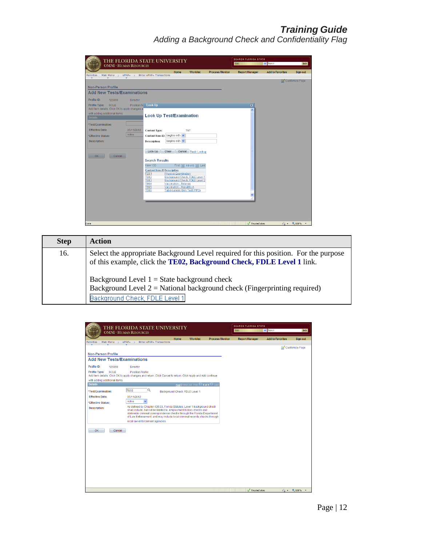| THE FLORIDA STATE UNIVERSITY<br><b>OMNI * HUMAN RESOURCES</b>                                                                                                                                                                                                                                                                                                                                                                                                                                                                                                                                                                                                                                                        | <b>SEARCH FLORIDA STATE</b><br>$\vee$ Search<br>Web | GO                                |
|----------------------------------------------------------------------------------------------------------------------------------------------------------------------------------------------------------------------------------------------------------------------------------------------------------------------------------------------------------------------------------------------------------------------------------------------------------------------------------------------------------------------------------------------------------------------------------------------------------------------------------------------------------------------------------------------------------------------|-----------------------------------------------------|-----------------------------------|
| <b>Worklist</b><br><b>Process Monitor</b><br>Home<br>$ePAF+$<br>Enter ePAF+ Transactions<br>Main Menu ><br>Favorites                                                                                                                                                                                                                                                                                                                                                                                                                                                                                                                                                                                                 | <b>Report Manager</b><br><b>Add to Favorites</b>    | Sign out                          |
| <b>Non-Person Profile</b><br><b>Add New Tests/Examinations</b><br>Profile ID:<br>126050<br><b>Director</b><br>Position Pr Look Up<br>Profile Type:<br><b>ROLE</b><br>Add item details. Click OK to apply changes a<br>with adding additional items.                                                                                                                                                                                                                                                                                                                                                                                                                                                                  | $\boxtimes$                                         | Customize Page                    |
| <b>Look Up Test/Examination</b><br><b>Details</b><br>*Test/Examination:<br><b>Effective Date:</b><br>05/11/2012<br><b>Content Type:</b><br><b>TST</b><br>Active<br>Content Item ID: begins with<br>*Effective Status:<br>begins with v<br><b>Description:</b><br><b>Description:</b><br>Look Up<br>Clear<br>Cancel Basic Lookup<br>OK-<br>Cancel<br><b>Search Results</b><br>View 100<br>First 4 1-6 of 6   Last<br><b>Content Item ID Description</b><br>TE01<br><b>Physical Examination</b><br><b>TE02</b><br>Background Check, FDLE Level 1<br><b>TE03</b><br>Background Check, FDLE Level 2<br>TE04<br>Vaccination - Tetanus<br>Vaccination - Hepatitis A<br>TE05<br><b>TE06</b><br>Tuberculosis Skin Test (PPD) |                                                     |                                   |
| Done                                                                                                                                                                                                                                                                                                                                                                                                                                                                                                                                                                                                                                                                                                                 | $\sqrt{ }$ Trusted sites                            | $\frac{1}{2}$ - $\frac{100\%}{2}$ |

| <b>Step</b> | <b>Action</b>                                                                                                                                                 |
|-------------|---------------------------------------------------------------------------------------------------------------------------------------------------------------|
| 16.         | Select the appropriate Background Level required for this position. For the purpose<br>of this example, click the TE02, Background Check, FDLE Level 1 link.  |
|             | Background Level $1 =$ State background check<br>Background Level $2 = National$ background check (Fingerprinting required)<br>Background Check, FDLE Level 1 |

| THE FLORIDA STATE UNIVERSITY<br><b>OMNI * HUMAN RESOURCES</b>                                                                                  |      |                                |                                    | <b>SEARCH FLORIDA STATE</b><br>Web | $\vee$ Search           | GO                                   |
|------------------------------------------------------------------------------------------------------------------------------------------------|------|--------------------------------|------------------------------------|------------------------------------|-------------------------|--------------------------------------|
|                                                                                                                                                | Home | <b>Worklist</b>                | <b>Process Monitor</b>             | <b>Report Manager</b>              | <b>Add to Favorites</b> | Sign out                             |
| $ePAF+$<br>Enter ePAF+ Transactions<br>Main Menu<br>Favorites<br>$\rightarrow$<br>$\rightarrow$                                                |      |                                |                                    |                                    |                         |                                      |
|                                                                                                                                                |      |                                |                                    |                                    |                         | Customize Page                       |
| <b>Non-Person Profile</b>                                                                                                                      |      |                                |                                    |                                    |                         |                                      |
| <b>Add New Tests/Examinations</b>                                                                                                              |      |                                |                                    |                                    |                         |                                      |
|                                                                                                                                                |      |                                |                                    |                                    |                         |                                      |
| Profile ID:<br>126050<br><b>Director</b>                                                                                                       |      |                                |                                    |                                    |                         |                                      |
| Profile Type:<br><b>ROLE</b><br><b>Position Profile</b>                                                                                        |      |                                |                                    |                                    |                         |                                      |
| Add item details. Click OK to apply changes and return. Click Cancel to return. Click Apply and Add continue                                   |      |                                |                                    |                                    |                         |                                      |
| with adding additional items.<br><b>Details</b>                                                                                                |      |                                | Find   View All First 1 of 1 2 Las |                                    |                         |                                      |
|                                                                                                                                                |      |                                |                                    |                                    |                         |                                      |
| TE <sub>02</sub><br>Q<br>*Test/Examination:                                                                                                    |      | Background Check, FDLE Level 1 |                                    |                                    |                         |                                      |
| <b>Effective Date:</b><br>05/11/2012                                                                                                           |      |                                |                                    |                                    |                         |                                      |
| $\ddotmark$<br>Active<br>*Effective Status:                                                                                                    |      |                                |                                    |                                    |                         |                                      |
| As defined by Chapter 435.03, Florida Statutes, Level 1 background check<br><b>Description:</b>                                                |      |                                |                                    |                                    |                         |                                      |
| shall include, but not be limited to, employment history checks and<br>statewide criminal correspondence checks through the Florida Department |      |                                |                                    |                                    |                         |                                      |
| of Law Enforcement, and may include local criminal records checks through                                                                      |      |                                |                                    |                                    |                         |                                      |
| local law enforcement agencies.                                                                                                                |      |                                |                                    |                                    |                         |                                      |
|                                                                                                                                                |      |                                |                                    |                                    |                         |                                      |
| OK<br>Cancel                                                                                                                                   |      |                                |                                    |                                    |                         |                                      |
|                                                                                                                                                |      |                                |                                    |                                    |                         |                                      |
|                                                                                                                                                |      |                                |                                    |                                    |                         |                                      |
|                                                                                                                                                |      |                                |                                    |                                    |                         |                                      |
|                                                                                                                                                |      |                                |                                    |                                    |                         |                                      |
|                                                                                                                                                |      |                                |                                    |                                    |                         |                                      |
|                                                                                                                                                |      |                                |                                    |                                    |                         |                                      |
|                                                                                                                                                |      |                                |                                    |                                    |                         |                                      |
|                                                                                                                                                |      |                                |                                    |                                    |                         |                                      |
|                                                                                                                                                |      |                                |                                    |                                    |                         |                                      |
|                                                                                                                                                |      |                                |                                    |                                    |                         |                                      |
|                                                                                                                                                |      |                                |                                    |                                    |                         |                                      |
|                                                                                                                                                |      |                                |                                    | Trusted sites                      |                         | $\sqrt{2}$ - $\frac{100\%}{100\%}$ - |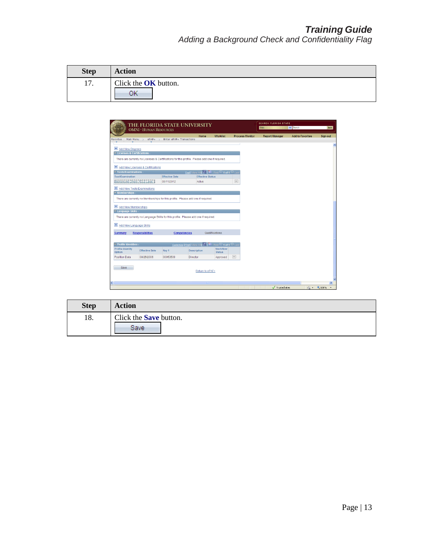| <b>Step</b> | <b>Action</b>                     |
|-------------|-----------------------------------|
| 17.         | Click the <b>OK</b> button.<br>ОK |

|                                                                          | <b>OMNI * HUMAN RESOURCES</b>     | THE FLORIDA STATE UNIVERSITY                                                                   |                                                             | <b>SEARCH FLORIDA STATE</b><br>Web | $\vee$ Search          | GO                    |                         |                 |
|--------------------------------------------------------------------------|-----------------------------------|------------------------------------------------------------------------------------------------|-------------------------------------------------------------|------------------------------------|------------------------|-----------------------|-------------------------|-----------------|
| Main Menu ><br>Favorites                                                 | $ePAF+$                           | Enter ePAF+ Transactions                                                                       | Home                                                        | <b>Worklist</b>                    | <b>Process Monitor</b> | <b>Report Manager</b> | <b>Add to Favorites</b> | <b>Sign out</b> |
|                                                                          |                                   |                                                                                                |                                                             |                                    |                        |                       |                         |                 |
| E Add New Degrees                                                        |                                   |                                                                                                |                                                             |                                    |                        |                       |                         |                 |
| ▽ Licenses & Certifications -                                            |                                   |                                                                                                |                                                             |                                    |                        |                       |                         |                 |
|                                                                          |                                   | There are currently no Licenses & Certifications for this profile. Please add one if required. |                                                             |                                    |                        |                       |                         |                 |
|                                                                          | Add New Licenses & Certifications |                                                                                                |                                                             |                                    |                        |                       |                         |                 |
| $\overline{\phantom{a}}$ Tests/Examinations                              |                                   |                                                                                                | Find   View All   M   H   First   1 of 1   Las              |                                    |                        |                       |                         |                 |
| <b>Test/Examination</b>                                                  |                                   | <b>Effective Date</b>                                                                          | <b>Effective Status</b>                                     |                                    |                        |                       |                         |                 |
| Background Check, FDLE Level 1                                           |                                   | 05/11/2012                                                                                     | Active                                                      |                                    | $\Box$                 |                       |                         |                 |
| Add New Tests/Examinations                                               |                                   |                                                                                                |                                                             |                                    |                        |                       |                         |                 |
| $\overline{\mathbf{v}}$ Memberships .                                    |                                   |                                                                                                |                                                             |                                    |                        |                       |                         |                 |
|                                                                          |                                   | There are currently no Memberships for this profile. Please add one if required.               |                                                             |                                    |                        |                       |                         |                 |
|                                                                          |                                   |                                                                                                |                                                             |                                    |                        |                       |                         |                 |
| E Add New Memberships                                                    |                                   |                                                                                                |                                                             |                                    |                        |                       |                         |                 |
| Language Skills -                                                        |                                   |                                                                                                |                                                             |                                    |                        |                       |                         |                 |
|                                                                          |                                   | There are currently no Language Skills for this profile. Please add one if reguired.           |                                                             |                                    |                        |                       |                         |                 |
|                                                                          |                                   |                                                                                                |                                                             |                                    |                        |                       |                         |                 |
|                                                                          |                                   |                                                                                                |                                                             |                                    |                        |                       |                         |                 |
|                                                                          |                                   |                                                                                                |                                                             |                                    |                        |                       |                         |                 |
| Add New Language Skills<br><b>Summary</b>                                | <b>Responsibilities</b>           | Competencies                                                                                   |                                                             | Qualifications                     |                        |                       |                         |                 |
|                                                                          |                                   |                                                                                                |                                                             |                                    |                        |                       |                         |                 |
|                                                                          |                                   |                                                                                                | Customize   Find   View All   M   H   First   1 of 1   Last |                                    |                        |                       |                         |                 |
| $\overline{\phantom{a}}$ Profile Identities -<br><b>Profile Identity</b> | <b>Effective Date</b>             | Key 1                                                                                          | <b>Description</b>                                          | Workflow                           |                        |                       |                         |                 |
| Option                                                                   |                                   |                                                                                                |                                                             | <b>Status</b>                      |                        |                       |                         |                 |
| Position Data                                                            | 08/25/2006                        | 00053509                                                                                       | Director                                                    | Approved                           | $\vert$ -              |                       |                         |                 |
| Save                                                                     |                                   |                                                                                                |                                                             |                                    |                        |                       |                         |                 |
|                                                                          |                                   |                                                                                                | Return to ePAF+                                             |                                    |                        |                       |                         |                 |
|                                                                          |                                   |                                                                                                |                                                             |                                    |                        |                       |                         |                 |
|                                                                          |                                   |                                                                                                |                                                             |                                    |                        |                       |                         | $\rightarrow$   |

| <b>Step</b> | <b>Action</b>                         |
|-------------|---------------------------------------|
| 18.         | Click the <b>Save</b> button.<br>Save |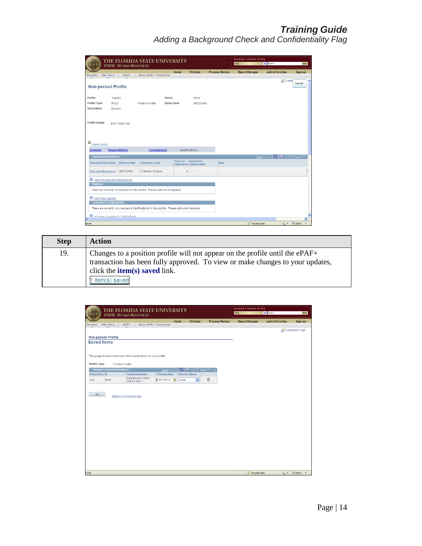| THE FLORIDA STATE UNIVERSITY<br><b>OMNI * HUMAN RESOURCES</b> |                         |                                     |                                                                                                |                     |          |                                               |                        | <b>SEARCH FLORIDA STATE</b><br>$\vee$ Search<br>Web |                       |                                         |                                      | GO              |   |
|---------------------------------------------------------------|-------------------------|-------------------------------------|------------------------------------------------------------------------------------------------|---------------------|----------|-----------------------------------------------|------------------------|-----------------------------------------------------|-----------------------|-----------------------------------------|--------------------------------------|-----------------|---|
|                                                               |                         |                                     | Enter ePAF+ Transactions                                                                       |                     | Home     | <b>Worklist</b>                               | <b>Process Monitor</b> |                                                     | <b>Report Manager</b> | <b>Add to Favorites</b>                 |                                      | <b>Sign out</b> |   |
| Favorites                                                     | Main Menu >             | $ePAF+$<br>$\rightarrow$            |                                                                                                |                     |          |                                               |                        |                                                     |                       |                                         | Custo                                |                 |   |
| <b>Non-person Profile</b>                                     |                         |                                     |                                                                                                |                     |          |                                               |                        |                                                     |                       |                                         | Saved                                |                 |   |
| Profile:                                                      | 126050                  |                                     |                                                                                                | Status:             |          | Active                                        |                        |                                                     |                       |                                         |                                      |                 |   |
| <b>Profile Type:</b>                                          | <b>ROLE</b>             |                                     | <b>Position Profile</b>                                                                        | <b>Status Date:</b> |          | 08/25/2006                                    |                        |                                                     |                       |                                         |                                      |                 |   |
| <b>Description:</b>                                           | Director                |                                     |                                                                                                |                     |          |                                               |                        |                                                     |                       |                                         |                                      |                 |   |
|                                                               |                         |                                     |                                                                                                |                     |          |                                               |                        |                                                     |                       |                                         |                                      |                 |   |
| Profile Usage:                                                |                         | End / Final / Job                   |                                                                                                |                     |          |                                               |                        |                                                     |                       |                                         |                                      |                 |   |
|                                                               |                         |                                     |                                                                                                |                     |          |                                               |                        |                                                     |                       |                                         |                                      |                 |   |
|                                                               |                         |                                     |                                                                                                |                     |          |                                               |                        |                                                     |                       |                                         |                                      |                 |   |
|                                                               |                         |                                     |                                                                                                |                     |          |                                               |                        |                                                     |                       |                                         |                                      |                 |   |
| $\frac{1}{2}$ item(s) saved                                   |                         |                                     |                                                                                                |                     |          |                                               |                        |                                                     |                       |                                         |                                      |                 |   |
| Summary                                                       | <b>Responsibilities</b> |                                     | Competencies                                                                                   |                     |          | Qualifications                                |                        |                                                     |                       |                                         |                                      |                 |   |
| Education/Experience -                                        |                         |                                     |                                                                                                |                     |          |                                               |                        |                                                     |                       | Find   View All   2   HI First 4 of 1 D |                                      |                 |   |
| <b>Education/Experience</b>                                   |                         | <b>Effective Date</b>               | <b>Education Level</b>                                                                         |                     | Years of | Experience<br><b>Experience Substitutable</b> | <b>Note</b>            |                                                     |                       |                                         |                                      |                 |   |
| Education/Experience                                          |                         | 08/25/2006                          | F-Masters Degree                                                                               |                     | 6        | $\boxed{\vee}$                                |                        |                                                     |                       |                                         |                                      |                 | F |
|                                                               |                         |                                     |                                                                                                |                     |          |                                               |                        |                                                     |                       |                                         |                                      |                 |   |
| Add New Education/Experience                                  |                         |                                     |                                                                                                |                     |          |                                               |                        |                                                     |                       |                                         |                                      |                 |   |
| Degrees -                                                     |                         |                                     |                                                                                                |                     |          |                                               |                        |                                                     |                       |                                         |                                      |                 |   |
|                                                               |                         |                                     | There are currently no Degrees for this profile. Please add one if required.                   |                     |          |                                               |                        |                                                     |                       |                                         |                                      |                 |   |
| + Add New Degrees                                             |                         |                                     |                                                                                                |                     |          |                                               |                        |                                                     |                       |                                         |                                      |                 |   |
| ▼ Licenses & Certifications -                                 |                         |                                     |                                                                                                |                     |          |                                               |                        |                                                     |                       |                                         |                                      |                 |   |
|                                                               |                         |                                     | There are currently no Licenses & Certifications for this profile. Please add one if required. |                     |          |                                               |                        |                                                     |                       |                                         |                                      |                 |   |
|                                                               |                         | + Add Maw Licancae & Cartificatione |                                                                                                |                     |          |                                               |                        |                                                     |                       |                                         |                                      |                 |   |
| ≺                                                             |                         |                                     |                                                                                                |                     |          |                                               |                        |                                                     |                       |                                         |                                      | $\vert$         |   |
| Done                                                          |                         |                                     |                                                                                                |                     |          |                                               |                        |                                                     | Trusted sites         |                                         | $\frac{1}{2}$ - $\frac{1}{2}$ 100% - |                 |   |

| <b>Step</b> | <b>Action</b>                                                                                                                                                                                                              |
|-------------|----------------------------------------------------------------------------------------------------------------------------------------------------------------------------------------------------------------------------|
| 19.         | Changes to a position profile will not appear on the profile until the $ePAF+$<br>transaction has been fully approved. To view or make changes to your updates,<br>click the <b>item(s)</b> saved link.<br>' item(s) saved |

|                                                 |                              | THE FLORIDA STATE UNIVERSITY<br><b>OMNI * HUMAN RESOURCES</b> |                                                 |                         |                 |                        | <b>SEARCH FLORIDA STATE</b><br>Web | $\vee$ Search           | GO             |
|-------------------------------------------------|------------------------------|---------------------------------------------------------------|-------------------------------------------------|-------------------------|-----------------|------------------------|------------------------------------|-------------------------|----------------|
|                                                 |                              |                                                               |                                                 | Home                    | <b>Worklist</b> | <b>Process Monitor</b> | <b>Report Manager</b>              | <b>Add to Favorites</b> | Sign out       |
| Favorites                                       | Main Menu $\rightarrow$      | ePAF+ > Enter ePAF+ Transactions                              |                                                 |                         |                 |                        |                                    |                         | Customize Page |
|                                                 |                              |                                                               |                                                 |                         |                 |                        |                                    |                         |                |
| <b>Non-person Profile</b><br><b>Saved Items</b> |                              |                                                               |                                                 |                         |                 |                        |                                    |                         |                |
|                                                 |                              |                                                               |                                                 |                         |                 |                        |                                    |                         |                |
|                                                 |                              |                                                               |                                                 |                         |                 |                        |                                    |                         |                |
|                                                 |                              | This page shows a summary of the saved items on your profile. |                                                 |                         |                 |                        |                                    |                         |                |
| Profile Type:                                   | <b>Position Profile</b>      |                                                               |                                                 |                         |                 |                        |                                    |                         |                |
|                                                 | Changed Tests/Examinations - |                                                               | Find   View All   M   H   First   1 of 1   Last |                         |                 |                        |                                    |                         |                |
| Disposition ID                                  |                              | <b>Test/Examination</b><br>Background Check,                  | *Effective Date                                 | <b>Effective Status</b> |                 |                        |                                    |                         |                |
| Add                                             | <b>TE02</b>                  | <b>FDLE Level 1</b>                                           | [05/11/2012   国                                 | Active                  | $\checkmark$    | û                      |                                    |                         |                |
|                                                 |                              |                                                               |                                                 |                         |                 |                        |                                    |                         |                |
|                                                 |                              |                                                               |                                                 |                         |                 |                        |                                    |                         |                |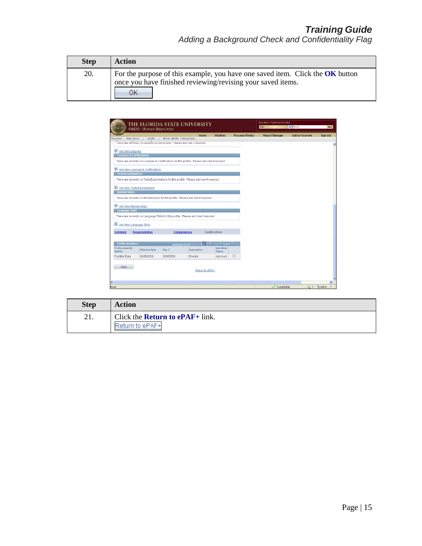| <b>Step</b> | Action                                                                                                                                             |
|-------------|----------------------------------------------------------------------------------------------------------------------------------------------------|
| 20.         | For the purpose of this example, you have one saved item. Click the OK button<br>once you have finished reviewing/revising your saved items.<br>ЭK |

|                                                                                                | THE FLORIDA STATE UNIVERSITY<br><b>OMNI * HUMAN RESOURCES</b>                           |                     |                                                             |                           |                        | <b>SEARCH FLORIDA STATE</b><br>Web | $\vee$ Search           | GO            |  |  |
|------------------------------------------------------------------------------------------------|-----------------------------------------------------------------------------------------|---------------------|-------------------------------------------------------------|---------------------------|------------------------|------------------------------------|-------------------------|---------------|--|--|
|                                                                                                |                                                                                         |                     | Home                                                        | <b>Worklist</b>           | <b>Process Monitor</b> | <b>Report Manager</b>              | <b>Add to Favorites</b> | Sign out      |  |  |
| Favorites                                                                                      | Main Menu > ePAF+ > Enter ePAF+ Transactions                                            |                     |                                                             |                           |                        |                                    |                         |               |  |  |
|                                                                                                | There are currently no Degrees for this prome. Prease add one in required.              |                     |                                                             |                           |                        |                                    |                         |               |  |  |
| Add New Degrees                                                                                |                                                                                         |                     |                                                             |                           |                        |                                    |                         |               |  |  |
|                                                                                                | ▼ Licenses & Certifications -                                                           |                     |                                                             |                           |                        |                                    |                         |               |  |  |
| There are currently no Licenses & Certifications for this profile. Please add one if required. |                                                                                         |                     |                                                             |                           |                        |                                    |                         |               |  |  |
|                                                                                                | Add New Licenses & Certifications                                                       |                     |                                                             |                           |                        |                                    |                         |               |  |  |
| Tests/Examinations -                                                                           |                                                                                         |                     |                                                             |                           |                        |                                    |                         |               |  |  |
|                                                                                                | There are currently no Tests/Examinations for this profile. Please add one if required. |                     |                                                             |                           |                        |                                    |                         |               |  |  |
|                                                                                                | Add New Tests/Examinations                                                              |                     |                                                             |                           |                        |                                    |                         |               |  |  |
| $\overline{\mathbf{v}}$ Memberships -                                                          |                                                                                         |                     |                                                             |                           |                        |                                    |                         |               |  |  |
|                                                                                                | There are currently no Memberships for this profile. Please add one if required.        |                     |                                                             |                           |                        |                                    |                         |               |  |  |
| H Add New Memberships                                                                          |                                                                                         |                     |                                                             |                           |                        |                                    |                         |               |  |  |
| ▽ Language Skills -                                                                            |                                                                                         |                     |                                                             |                           |                        |                                    |                         |               |  |  |
|                                                                                                | There are currently no Language Skills for this profile. Please add one if required.    |                     |                                                             |                           |                        |                                    |                         |               |  |  |
|                                                                                                |                                                                                         |                     |                                                             |                           |                        |                                    |                         |               |  |  |
|                                                                                                | + Add New Language Skills                                                               |                     |                                                             |                           |                        |                                    |                         |               |  |  |
|                                                                                                |                                                                                         |                     |                                                             | Qualifications            |                        |                                    |                         |               |  |  |
| <b>Summary</b>                                                                                 | <b>Responsibilities</b>                                                                 | <b>Competencies</b> |                                                             |                           |                        |                                    |                         |               |  |  |
|                                                                                                |                                                                                         |                     |                                                             |                           |                        |                                    |                         |               |  |  |
| ▼ Profile Identities -                                                                         |                                                                                         |                     | Customize   Find   View All   4   H   First   1 of 1   Last |                           |                        |                                    |                         |               |  |  |
| <b>Profile Identity</b><br>Option                                                              | <b>Effective Date</b>                                                                   | Key 1               | <b>Description</b>                                          | Workflow<br><b>Status</b> |                        |                                    |                         |               |  |  |
| <b>Position Data</b>                                                                           | 08/25/2006                                                                              | 00053509            | <b>Director</b>                                             | Approved                  | $\qquad \qquad -$      |                                    |                         |               |  |  |
|                                                                                                |                                                                                         |                     |                                                             |                           |                        |                                    |                         |               |  |  |
| Save                                                                                           |                                                                                         |                     | Return to ePAF+                                             |                           |                        |                                    |                         |               |  |  |
|                                                                                                |                                                                                         |                     |                                                             |                           |                        |                                    |                         |               |  |  |
| €                                                                                              |                                                                                         |                     | <b>III</b>                                                  |                           |                        |                                    |                         | $\rightarrow$ |  |  |
| Done                                                                                           |                                                                                         |                     |                                                             |                           |                        | Trusted sites                      |                         | ● ● 电100%     |  |  |
|                                                                                                |                                                                                         |                     |                                                             |                           |                        |                                    |                         |               |  |  |

| <b>Step</b> | Action                                                          |
|-------------|-----------------------------------------------------------------|
| 21.         | Click the <b>Return to <math>ePAF+</math></b> link.<br>to ePAF+ |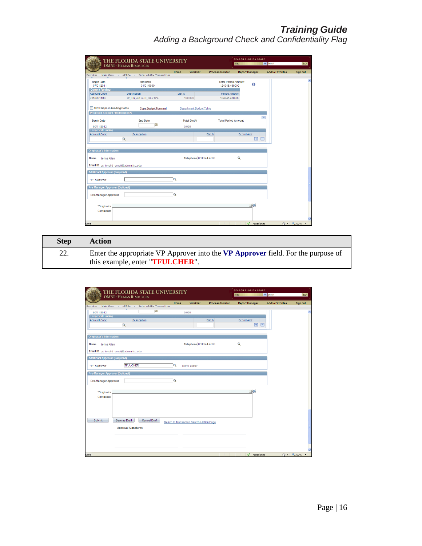|                                         | THE FLORIDA STATE UNIVERSITY<br><b>OMNI * HUMAN RESOURCES</b> |       |                                |                        | Web                                         | <b>SEARCH FLORIDA STATE</b> | $\vee$ Search           | GO       |
|-----------------------------------------|---------------------------------------------------------------|-------|--------------------------------|------------------------|---------------------------------------------|-----------------------------|-------------------------|----------|
|                                         |                                                               | Home  | <b>Worklist</b>                | <b>Process Monitor</b> |                                             | <b>Report Manager</b>       | <b>Add to Favorites</b> | Sign out |
| Main Menu ><br>Favorites                | Enter ePAF+ Transactions<br>$ePAF+$<br>$\sim$                 |       |                                |                        |                                             |                             |                         |          |
| <b>Begin Date</b><br>07/01/2011         | <b>End Date</b><br>01/01/9999                                 |       |                                |                        | <b>Total Period Amount</b><br>124045.468000 | $\bullet$                   |                         |          |
| <b>Current Funding</b>                  |                                                               |       |                                |                        |                                             |                             |                         |          |
| <b>Account Code</b>                     | <b>Description</b>                                            | Dist% |                                |                        | <b>Period Amount</b>                        |                             |                         |          |
| 065000110S                              | Of_Fin_Aid GEN_REV SAL                                        |       | 100.000                        |                        | 124045.468000                               |                             |                         |          |
| Allow Gaps in Funding Dates             | <b>Copy Budget Forward</b>                                    |       | <b>Department Budget Table</b> |                        |                                             |                             |                         |          |
| Proposed Account / Distribution %       |                                                               |       |                                |                        |                                             |                             |                         |          |
| <b>Begin Date</b>                       | <b>End Date</b>                                               |       | <b>Total Dist %</b>            |                        | <b>Total Period Amount</b>                  |                             | Ξ                       |          |
| 05/11/2012                              | F                                                             |       | 0.000                          |                        |                                             |                             |                         |          |
| <b>Proposed Funding</b>                 |                                                               |       |                                |                        |                                             |                             |                         |          |
| <b>Account Code</b>                     | <b>Description</b>                                            |       |                                | Dist %                 | <b>Period Amt</b>                           |                             |                         |          |
|                                         | $\alpha$                                                      |       |                                |                        |                                             | $\mathbf{F}$<br>$\Box$      |                         |          |
|                                         |                                                               |       |                                |                        |                                             |                             |                         |          |
| <b>Originator's Information</b>         |                                                               |       |                                |                        |                                             |                             |                         |          |
| Name<br>Jenna Allen                     |                                                               |       | Telephone 850/644-4286         |                        | Q                                           |                             |                         |          |
| Email ID ps_invalid_email@admin.fsu.edu |                                                               |       |                                |                        |                                             |                             |                         |          |
| <b>Additional Approver (Required)</b>   |                                                               |       |                                |                        |                                             |                             |                         |          |
| *VP Approver                            |                                                               | Q     |                                |                        |                                             |                             |                         |          |
| <b>Pre-Manager Approver (Optional)</b>  |                                                               |       |                                |                        |                                             |                             |                         |          |
|                                         |                                                               |       |                                |                        |                                             |                             |                         |          |
| <b>Pre-Manager Approver</b>             |                                                               | Q     |                                |                        |                                             |                             |                         |          |
| *Originator                             |                                                               |       |                                |                        |                                             | ⊣જ                          |                         |          |
| <b>Comments</b>                         |                                                               |       |                                |                        |                                             |                             |                         |          |
|                                         |                                                               |       |                                |                        |                                             |                             |                         |          |
|                                         |                                                               |       |                                |                        |                                             |                             |                         |          |

| <b>Step</b> | Action                                                                                                                       |
|-------------|------------------------------------------------------------------------------------------------------------------------------|
| 22.         | Enter the appropriate VP Approver into the VP Approver field. For the purpose of<br>this example, enter " <b>TFULCHER</b> ". |

| <b>OMNI * HUMAN RESOURCES</b>                                  |                            | THE FLORIDA STATE UNIVERSITY |      |                                            |                        | <b>SEARCH FLORIDA STATE</b><br>Web                          | $\vee$ Search           | GO                                   |
|----------------------------------------------------------------|----------------------------|------------------------------|------|--------------------------------------------|------------------------|-------------------------------------------------------------|-------------------------|--------------------------------------|
| Main Menu ><br>Favorites                                       | $ePAF+$ >                  | Enter ePAF+ Transactions     | Home | <b>Worklist</b>                            | <b>Process Monitor</b> | <b>Report Manager</b>                                       | <b>Add to Favorites</b> | Sign out                             |
| 05/11/2012<br><b>Proposed Funding</b><br><b>Account Code</b>   | $\alpha$                   | [bij<br><b>Description</b>   |      | 0.000                                      | Dist%                  | <b>Period Amt</b><br>$\left  \frac{1}{2} \right $<br>$\Box$ |                         | $\lambda$                            |
| <b>Originator's Information</b>                                |                            |                              |      |                                            |                        |                                                             |                         |                                      |
| Jenna Allen<br>Name<br>Email ID ps_invalid_email@admin.fsu.edu |                            |                              |      | Telephone 850/644-4286                     |                        | Q                                                           |                         |                                      |
| <b>Additional Approver (Required)</b>                          |                            |                              |      |                                            |                        |                                                             |                         |                                      |
| *VP Approver                                                   | <b>TFULCHER</b>            |                              | Q    | <b>Terry Fulcher</b>                       |                        |                                                             |                         |                                      |
| <b>Pre-Manager Approver (Optional)</b>                         |                            |                              |      |                                            |                        |                                                             |                         |                                      |
| <b>Pre-Manager Approver</b>                                    |                            |                              | Q    |                                            |                        |                                                             |                         |                                      |
| *Originator<br><b>Comments</b>                                 |                            |                              |      |                                            |                        | 一                                                           |                         |                                      |
| Submit                                                         | Save as Draft              | Cancel Draft                 |      | Return to Transaction Search / Action Page |                        |                                                             |                         |                                      |
|                                                                | <b>Approval Signatures</b> |                              |      |                                            |                        |                                                             |                         |                                      |
|                                                                |                            |                              |      |                                            |                        |                                                             |                         |                                      |
| Done                                                           |                            |                              |      |                                            |                        | Trusted sites                                               |                         | $\sqrt{2}$ - $\frac{100\%}{100\%}$ - |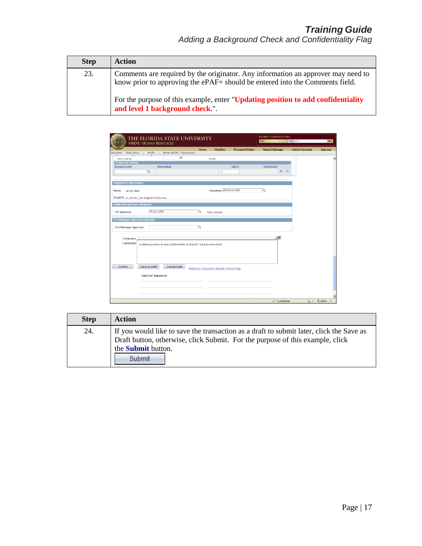| <b>Step</b> | <b>Action</b>                                                                                                                                                                                                                                                                           |
|-------------|-----------------------------------------------------------------------------------------------------------------------------------------------------------------------------------------------------------------------------------------------------------------------------------------|
| 23.         | Comments are required by the originator. Any information an approver may need to<br>know prior to approving the ePAF+ should be entered into the Comments field.<br>For the purpose of this example, enter "Updating position to add confidentiality<br>and level 1 background check.". |

|                                       | <b>OMNI * HUMAN RESOURCES</b>           | THE FLORIDA STATE UNIVERSITY                                           |          |                                            |                        | <b>SEARCH FLORIDA STATE</b><br>Web | $\vee$ Search           | GO                                   |
|---------------------------------------|-----------------------------------------|------------------------------------------------------------------------|----------|--------------------------------------------|------------------------|------------------------------------|-------------------------|--------------------------------------|
| Main Menu ><br>Favorites              | $ePAF+$                                 | Enter ePAF+ Transactions                                               | Home     | <b>Worklist</b>                            | <b>Process Monitor</b> | <b>Report Manager</b>              | <b>Add to Favorites</b> | Sign out                             |
|                                       |                                         | 凹                                                                      |          |                                            |                        |                                    |                         |                                      |
| 05/11/2012<br><b>Proposed Funding</b> |                                         |                                                                        |          | 0.000                                      |                        |                                    |                         |                                      |
| <b>Account Code</b>                   |                                         | <b>Description</b>                                                     |          |                                            | Dist %                 | <b>Period Amt</b>                  |                         |                                      |
|                                       | $\alpha$                                |                                                                        |          |                                            |                        | $+$<br>$\Box$                      |                         |                                      |
|                                       |                                         |                                                                        |          |                                            |                        |                                    |                         |                                      |
| <b>Originator's Information</b>       |                                         |                                                                        |          |                                            |                        |                                    |                         |                                      |
|                                       |                                         |                                                                        |          | Telephone 850/644-4286                     |                        | Q                                  |                         |                                      |
| Jenna Allen<br>Name                   |                                         |                                                                        |          |                                            |                        |                                    |                         |                                      |
|                                       | Email ID ps_invalid_email@admin.fsu.edu |                                                                        |          |                                            |                        |                                    |                         |                                      |
| <b>Additional Approver (Required)</b> |                                         |                                                                        |          |                                            |                        |                                    |                         |                                      |
|                                       |                                         |                                                                        |          |                                            |                        |                                    |                         |                                      |
| *VP Approver                          | <b>TFULCHER</b>                         |                                                                        | $\alpha$ | <b>Terry Fulcher</b>                       |                        |                                    |                         |                                      |
| Pre-Manager Approver (Optional)       |                                         |                                                                        |          |                                            |                        |                                    |                         |                                      |
| <b>Pre-Manager Approver</b>           |                                         |                                                                        | Q        |                                            |                        |                                    |                         |                                      |
|                                       |                                         |                                                                        |          |                                            |                        |                                    |                         |                                      |
| *Originator                           |                                         |                                                                        |          |                                            |                        | 山区                                 |                         |                                      |
| <b>Comments</b>                       |                                         |                                                                        |          |                                            |                        |                                    |                         |                                      |
|                                       |                                         | Updating position to add confidentiality and level 1 background check. |          |                                            |                        |                                    |                         |                                      |
|                                       |                                         |                                                                        |          |                                            |                        |                                    |                         |                                      |
|                                       |                                         |                                                                        |          |                                            |                        |                                    |                         |                                      |
|                                       |                                         |                                                                        |          |                                            |                        |                                    |                         |                                      |
| <b>Submit</b>                         | Save as Draft                           | Cancel Draft                                                           |          | Return to Transaction Search / Action Page |                        |                                    |                         |                                      |
|                                       |                                         |                                                                        |          |                                            |                        |                                    |                         |                                      |
|                                       | <b>Approval Signatures</b>              |                                                                        |          |                                            |                        |                                    |                         |                                      |
|                                       |                                         |                                                                        |          |                                            |                        |                                    |                         |                                      |
|                                       |                                         |                                                                        |          |                                            |                        |                                    |                         |                                      |
|                                       |                                         |                                                                        |          |                                            |                        |                                    |                         |                                      |
|                                       |                                         |                                                                        |          |                                            |                        |                                    |                         |                                      |
|                                       |                                         |                                                                        |          |                                            |                        | Trusted sites                      |                         | $\frac{1}{2}$ - $\frac{1}{2}$ 100% - |

| <b>Step</b> | <b>Action</b>                                                                                                                                                                                                   |
|-------------|-----------------------------------------------------------------------------------------------------------------------------------------------------------------------------------------------------------------|
| 24.         | If you would like to save the transaction as a draft to submit later, click the Save as<br>Draft button, otherwise, click Submit. For the purpose of this example, click<br>the <b>Submit</b> button.<br>Submit |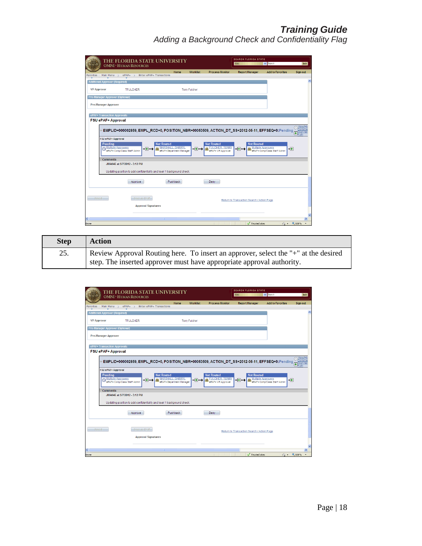| THE FLORIDA STATE UNIVERSITY<br><b>OMNI * HUMAN RESOURCES</b>                                                                                                                                                                            |                                              |                      |                                                                 | <b>SEARCH FLORIDA STATE</b><br>Web         | $\vee$ Search                                                   | GO                     |
|------------------------------------------------------------------------------------------------------------------------------------------------------------------------------------------------------------------------------------------|----------------------------------------------|----------------------|-----------------------------------------------------------------|--------------------------------------------|-----------------------------------------------------------------|------------------------|
| ePAF+ > Enter ePAF+ Transactions<br>Main Menu $\rightarrow$<br>Favorites                                                                                                                                                                 | Home                                         | <b>Worklist</b>      | <b>Process Monitor</b>                                          | <b>Report Manager</b>                      | <b>Add to Favorites</b>                                         | <b>Sign out</b>        |
| <b>Additional Approver (Required)</b>                                                                                                                                                                                                    |                                              |                      |                                                                 |                                            |                                                                 |                        |
|                                                                                                                                                                                                                                          |                                              |                      |                                                                 |                                            |                                                                 |                        |
| <b>VP Approver</b><br><b>TFULCHER</b>                                                                                                                                                                                                    |                                              | <b>Terry Fulcher</b> |                                                                 |                                            |                                                                 |                        |
| <b>Pre-Manager Approver (Optional)</b>                                                                                                                                                                                                   |                                              |                      |                                                                 |                                            |                                                                 |                        |
| Pre-Manager Approver                                                                                                                                                                                                                     |                                              |                      |                                                                 |                                            |                                                                 |                        |
| ePAF+ Transaction Approvals                                                                                                                                                                                                              |                                              |                      |                                                                 |                                            |                                                                 |                        |
| FSU ePAF+ Approval                                                                                                                                                                                                                       |                                              |                      |                                                                 |                                            |                                                                 |                        |
| $\triangledown$ EMPLID=000002859, EMPL_RCD=0, POSITION_NBR=00053509, ACTION_DT_SS=2012-05-11, EFFSEQ=0:Pending<br><b>FSU ePAF+ Approval</b><br><b>Not Routed</b><br>Pendina<br>Multiple Approvers<br>⊣∓⊦<br>ePAF+ Comp/Class Staff Admin | MARSHALL, DARRYL<br>ePAF+ Department Manager | -99                  | <b>Not Routed</b><br><b>FULCHER, TERRY</b><br>ePAF+ VP Approver | <b>Not Routed</b><br>-9                    | <b>Multiple Approvers</b><br>一田<br>ePAF+ Comp/Class Staff Admin | Œ                      |
| <b>Comments</b><br>JMA04E at 5/7/2012 - 3:12 PM                                                                                                                                                                                          |                                              |                      |                                                                 |                                            |                                                                 |                        |
| Updating position to add confidentiality and level 1 background check.                                                                                                                                                                   |                                              |                      |                                                                 |                                            |                                                                 |                        |
| Approve                                                                                                                                                                                                                                  | Pushback                                     |                      | Denv                                                            |                                            |                                                                 |                        |
| Saved-<br>Save as Draft<br><b>Approval Signatures</b><br>∢<br>m                                                                                                                                                                          |                                              |                      |                                                                 | Return to Transaction Search / Action Page |                                                                 | $\rightarrow$          |
| Done                                                                                                                                                                                                                                     |                                              |                      |                                                                 | Trusted sites                              |                                                                 | $\frac{1}{2}$ - 4,100% |

| <b>Step</b> | <b>Action</b>                                                                      |
|-------------|------------------------------------------------------------------------------------|
| 25.         | Review Approval Routing here. To insert an approver, select the "+" at the desired |
|             | step. The inserted approver must have appropriate approval authority.              |

| THE FLORIDA STATE UNIVERSITY<br><b>OMNI * HUMAN RESOURCES</b>                                                                                                                                                                                          |                                                     |                      |                                                                 | <b>SEARCH FLORIDA STATE</b><br>Web                    | $\vee$ Search                | GO                         |
|--------------------------------------------------------------------------------------------------------------------------------------------------------------------------------------------------------------------------------------------------------|-----------------------------------------------------|----------------------|-----------------------------------------------------------------|-------------------------------------------------------|------------------------------|----------------------------|
| Main Menu<br>$ePAF+$<br>Enter ePAF+ Transactions<br>Favorites<br>$\rightarrow$<br>$\rightarrow$                                                                                                                                                        | Home                                                | <b>Worklist</b>      | <b>Process Monitor</b>                                          | <b>Report Manager</b>                                 | <b>Add to Favorites</b>      | <b>Sign out</b>            |
| <b>Additional Approver (Required)</b>                                                                                                                                                                                                                  |                                                     |                      |                                                                 |                                                       |                              |                            |
| <b>VP Approver</b><br><b>TFULCHER</b>                                                                                                                                                                                                                  |                                                     | <b>Terry Fulcher</b> |                                                                 |                                                       |                              |                            |
| Pre-Manager Approver (Optional)                                                                                                                                                                                                                        |                                                     |                      |                                                                 |                                                       |                              |                            |
| <b>Pre-Manager Approver</b>                                                                                                                                                                                                                            |                                                     |                      |                                                                 |                                                       |                              |                            |
| ePAF+Transaction Approvals                                                                                                                                                                                                                             |                                                     |                      |                                                                 |                                                       |                              |                            |
| FSU ePAF+ Approval                                                                                                                                                                                                                                     |                                                     |                      |                                                                 |                                                       |                              |                            |
| $\triangledown$ EMPLID=000002859, EMPL_RCD=0, POSITION_NBR=00053509, ACTION_DT_SS=2012-05-11, EFFSEQ=0: <code>Pending</code><br><b>FSU ePAF+ Approval</b><br><b>Not Routed</b><br>Pending<br>Multiple Approvers<br>-99<br>ePAF+ Comp/Class Staff Admin | <b>MARSHALL, DARRYL</b><br>ePAF+ Department Manager | -9                   | <b>Not Routed</b><br><b>FULCHER, TERRY</b><br>ePAF+ VP Approver | <b>Not Routed</b><br><b>Multiple Approvers</b><br>-⊞- | ePAF+ Comp/Class Staff Admin | Œ<br>ᆌ                     |
| <b>Comments</b><br>JMA04E at 5/7/2012 - 3:12 PM                                                                                                                                                                                                        |                                                     |                      |                                                                 |                                                       |                              |                            |
| Updating position to add confidentiality and level 1 background check.                                                                                                                                                                                 |                                                     |                      |                                                                 |                                                       |                              |                            |
| Approve                                                                                                                                                                                                                                                | Pushback                                            |                      | Deny                                                            |                                                       |                              |                            |
| Saved-<br>Save as Draft                                                                                                                                                                                                                                |                                                     |                      |                                                                 | Return to Transaction Search / Action Page            |                              |                            |
| <b>Approval Signatures</b>                                                                                                                                                                                                                             |                                                     |                      |                                                                 |                                                       |                              |                            |
| ∢<br>TIL.                                                                                                                                                                                                                                              |                                                     |                      |                                                                 |                                                       |                              | ٠                          |
| Done                                                                                                                                                                                                                                                   |                                                     |                      |                                                                 | Trusted sites                                         |                              | $\sqrt{2}$ $\sqrt{2}$ 100% |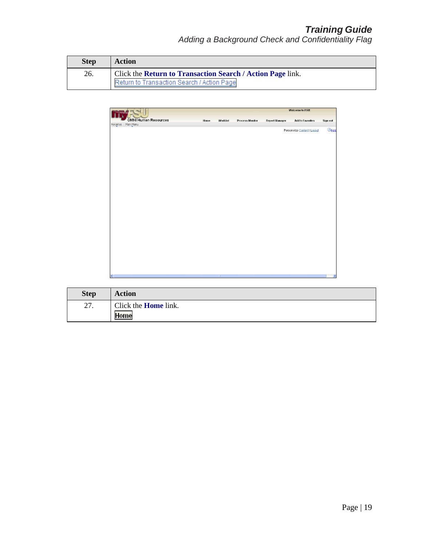| <b>Step</b> | <b>Action</b>                                              |
|-------------|------------------------------------------------------------|
| 26.         | Click the Return to Transaction Search / Action Page link. |
|             | Return to Transaction Search / Action Page                 |

|                             |      |          |                        | Welcome to FSU!       |                              |               |  |
|-----------------------------|------|----------|------------------------|-----------------------|------------------------------|---------------|--|
| <b>OMNI Human Resources</b> | Home | Worklist | <b>Process Monitor</b> | <b>Report Manager</b> | <b>Add to Favorites</b>      | Sign out      |  |
| Favorites   Main Menu       |      |          |                        |                       | Personalize Content   Layout | $①$ Help      |  |
|                             |      |          |                        |                       |                              |               |  |
|                             |      |          |                        |                       |                              |               |  |
|                             |      |          |                        |                       |                              |               |  |
|                             |      |          |                        |                       |                              |               |  |
|                             |      |          |                        |                       |                              |               |  |
|                             |      |          |                        |                       |                              |               |  |
|                             |      |          |                        |                       |                              |               |  |
|                             |      |          |                        |                       |                              |               |  |
|                             |      |          |                        |                       |                              |               |  |
|                             |      |          |                        |                       |                              |               |  |
|                             |      |          |                        |                       |                              |               |  |
|                             |      |          |                        |                       |                              |               |  |
|                             |      |          |                        |                       |                              |               |  |
|                             |      |          |                        |                       |                              |               |  |
|                             |      |          |                        |                       |                              |               |  |
|                             |      |          |                        |                       |                              |               |  |
|                             |      |          |                        |                       |                              |               |  |
|                             |      |          |                        |                       |                              |               |  |
|                             |      |          |                        |                       |                              |               |  |
|                             |      |          |                        |                       |                              |               |  |
|                             |      | TIL.     |                        |                       |                              | $\rightarrow$ |  |

| <b>Step</b> | <b>Action</b>               |
|-------------|-----------------------------|
| 27.         | Click the <b>Home</b> link. |
|             |                             |